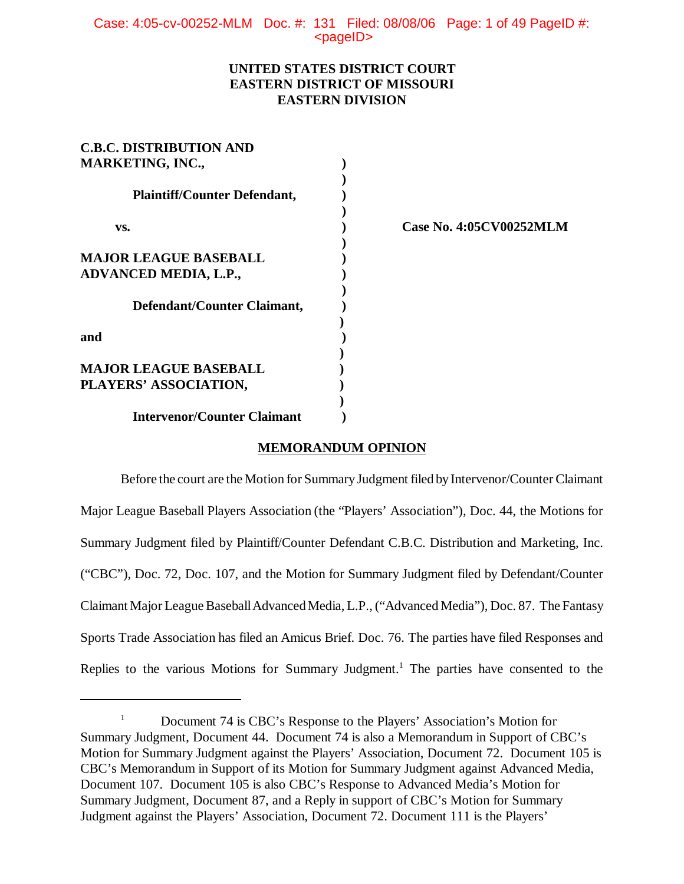Case: 4:05-cv-00252-MLM Doc. #: 131 Filed: 08/08/06 Page: 1 of 49 PageID #:  $<$ pageID $>$ 

## **UNITED STATES DISTRICT COURT EASTERN DISTRICT OF MISSOURI EASTERN DIVISION**

| <b>C.B.C. DISTRIBUTION AND</b>      |  |
|-------------------------------------|--|
| <b>MARKETING, INC.,</b>             |  |
|                                     |  |
| <b>Plaintiff/Counter Defendant,</b> |  |
|                                     |  |
| VS.                                 |  |
|                                     |  |
| <b>MAJOR LEAGUE BASEBALL</b>        |  |
| <b>ADVANCED MEDIA, L.P.,</b>        |  |
|                                     |  |
| Defendant/Counter Claimant,<br>and  |  |
|                                     |  |
|                                     |  |
|                                     |  |
| <b>MAJOR LEAGUE BASEBALL</b>        |  |
| PLAYERS' ASSOCIATION,               |  |
|                                     |  |
| <b>Intervenor/Counter Claimant</b>  |  |

 **vs. ) Case No. 4:05CV00252MLM**

### **MEMORANDUM OPINION**

Before the court are the Motion for Summary Judgment filed by Intervenor/Counter Claimant Major League Baseball Players Association (the "Players' Association"), Doc. 44, the Motions for Summary Judgment filed by Plaintiff/Counter Defendant C.B.C. Distribution and Marketing, Inc. ("CBC"), Doc. 72, Doc. 107, and the Motion for Summary Judgment filed by Defendant/Counter Claimant Major League Baseball Advanced Media, L.P., ("Advanced Media"), Doc. 87. The Fantasy Sports Trade Association has filed an Amicus Brief. Doc. 76. The parties have filed Responses and Replies to the various Motions for Summary Judgment.<sup>1</sup> The parties have consented to the

<sup>&</sup>lt;sup>1</sup> Document 74 is CBC's Response to the Players' Association's Motion for Summary Judgment, Document 44. Document 74 is also a Memorandum in Support of CBC's Motion for Summary Judgment against the Players' Association, Document 72. Document 105 is CBC's Memorandum in Support of its Motion for Summary Judgment against Advanced Media, Document 107. Document 105 is also CBC's Response to Advanced Media's Motion for Summary Judgment, Document 87, and a Reply in support of CBC's Motion for Summary Judgment against the Players' Association, Document 72. Document 111 is the Players'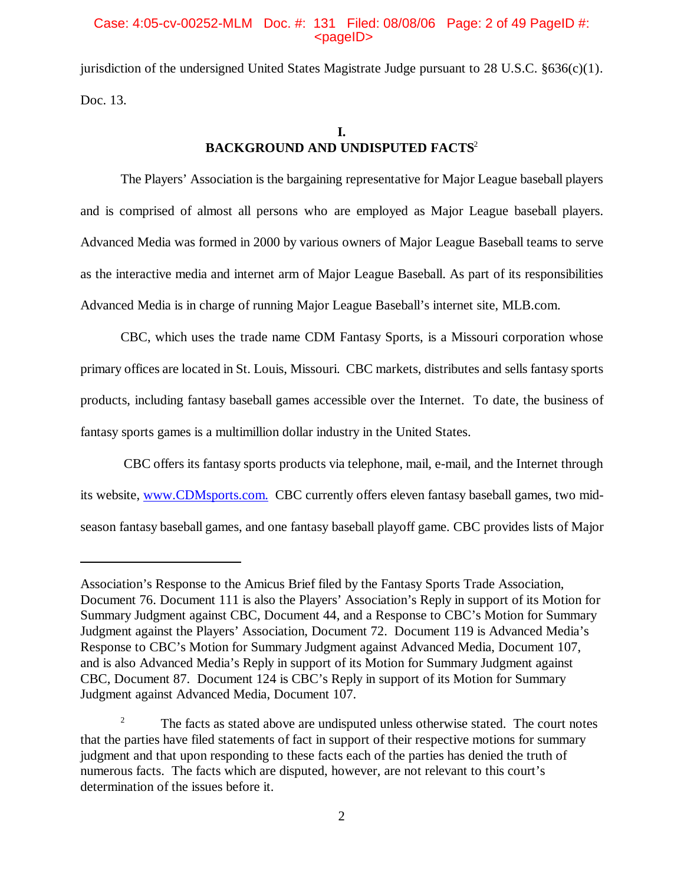## Case: 4:05-cv-00252-MLM Doc. #: 131 Filed: 08/08/06 Page: 2 of 49 PageID #:  $<$ pageID $>$

jurisdiction of the undersigned United States Magistrate Judge pursuant to 28 U.S.C.  $\S 636(c)(1)$ . Doc. 13.

# **I. BACKGROUND AND UNDISPUTED FACTS**<sup>2</sup>

The Players' Association is the bargaining representative for Major League baseball players and is comprised of almost all persons who are employed as Major League baseball players. Advanced Media was formed in 2000 by various owners of Major League Baseball teams to serve as the interactive media and internet arm of Major League Baseball. As part of its responsibilities Advanced Media is in charge of running Major League Baseball's internet site, MLB.com.

CBC, which uses the trade name CDM Fantasy Sports, is a Missouri corporation whose primary offices are located in St. Louis, Missouri. CBC markets, distributes and sells fantasy sports products, including fantasy baseball games accessible over the Internet. To date, the business of fantasy sports games is a multimillion dollar industry in the United States.

CBC offers its fantasy sports products via telephone, mail, e-mail, and the Internet through its website, www.CDMsports.com. CBC currently offers eleven fantasy baseball games, two midseason fantasy baseball games, and one fantasy baseball playoff game. CBC provides lists of Major

Association's Response to the Amicus Brief filed by the Fantasy Sports Trade Association, Document 76. Document 111 is also the Players' Association's Reply in support of its Motion for Summary Judgment against CBC, Document 44, and a Response to CBC's Motion for Summary Judgment against the Players' Association, Document 72. Document 119 is Advanced Media's Response to CBC's Motion for Summary Judgment against Advanced Media, Document 107, and is also Advanced Media's Reply in support of its Motion for Summary Judgment against CBC, Document 87. Document 124 is CBC's Reply in support of its Motion for Summary Judgment against Advanced Media, Document 107.

The facts as stated above are undisputed unless otherwise stated. The court notes that the parties have filed statements of fact in support of their respective motions for summary judgment and that upon responding to these facts each of the parties has denied the truth of numerous facts. The facts which are disputed, however, are not relevant to this court's determination of the issues before it.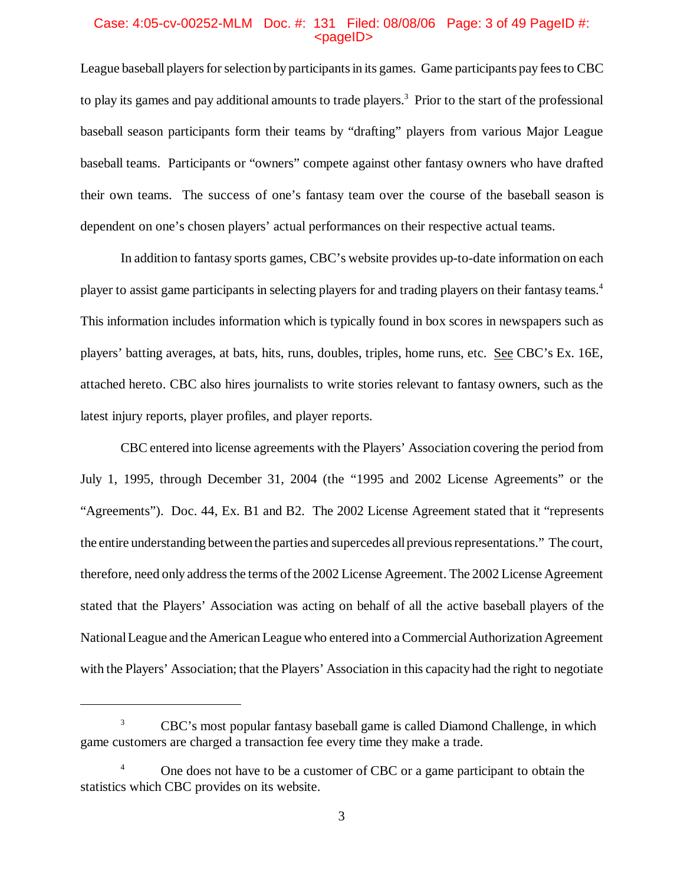#### Case: 4:05-cv-00252-MLM Doc. #: 131 Filed: 08/08/06 Page: 3 of 49 PageID #: <pageID>

League baseball players for selection by participants in its games. Game participants pay fees to CBC to play its games and pay additional amounts to trade players.<sup>3</sup> Prior to the start of the professional baseball season participants form their teams by "drafting" players from various Major League baseball teams. Participants or "owners" compete against other fantasy owners who have drafted their own teams. The success of one's fantasy team over the course of the baseball season is dependent on one's chosen players' actual performances on their respective actual teams.

In addition to fantasy sports games, CBC's website provides up-to-date information on each player to assist game participants in selecting players for and trading players on their fantasy teams.<sup>4</sup> This information includes information which is typically found in box scores in newspapers such as players' batting averages, at bats, hits, runs, doubles, triples, home runs, etc. See CBC's Ex. 16E, attached hereto. CBC also hires journalists to write stories relevant to fantasy owners, such as the latest injury reports, player profiles, and player reports.

CBC entered into license agreements with the Players' Association covering the period from July 1, 1995, through December 31, 2004 (the "1995 and 2002 License Agreements" or the "Agreements"). Doc. 44, Ex. B1 and B2. The 2002 License Agreement stated that it "represents the entire understanding between the parties and supercedes all previous representations." The court, therefore, need only address the terms of the 2002 License Agreement. The 2002 License Agreement stated that the Players' Association was acting on behalf of all the active baseball players of the National League and the American League who entered into a Commercial Authorization Agreement with the Players' Association; that the Players' Association in this capacity had the right to negotiate

<sup>&</sup>lt;sup>3</sup> CBC's most popular fantasy baseball game is called Diamond Challenge, in which game customers are charged a transaction fee every time they make a trade.

<sup>&</sup>lt;sup>4</sup> One does not have to be a customer of CBC or a game participant to obtain the statistics which CBC provides on its website.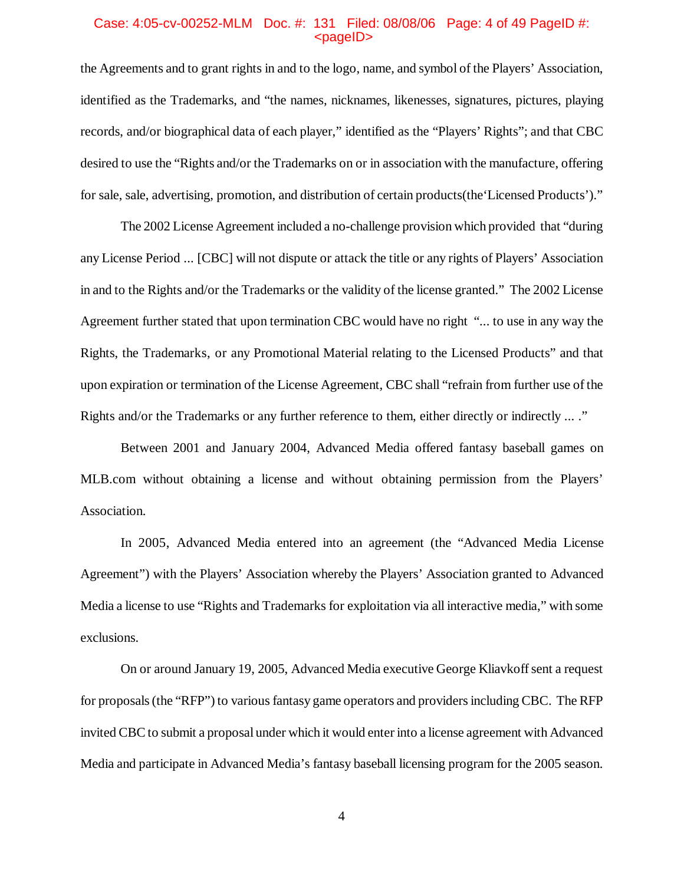#### Case: 4:05-cv-00252-MLM Doc. #: 131 Filed: 08/08/06 Page: 4 of 49 PageID #: <pageID>

the Agreements and to grant rights in and to the logo, name, and symbol of the Players' Association, identified as the Trademarks, and "the names, nicknames, likenesses, signatures, pictures, playing records, and/or biographical data of each player," identified as the "Players' Rights"; and that CBC desired to use the "Rights and/or the Trademarks on or in association with the manufacture, offering for sale, sale, advertising, promotion, and distribution of certain products(the'Licensed Products')."

The 2002 License Agreement included a no-challenge provision which provided that "during any License Period ... [CBC] will not dispute or attack the title or any rights of Players' Association in and to the Rights and/or the Trademarks or the validity of the license granted." The 2002 License Agreement further stated that upon termination CBC would have no right "... to use in any way the Rights, the Trademarks, or any Promotional Material relating to the Licensed Products" and that upon expiration or termination of the License Agreement, CBC shall "refrain from further use of the Rights and/or the Trademarks or any further reference to them, either directly or indirectly ... ."

Between 2001 and January 2004, Advanced Media offered fantasy baseball games on MLB.com without obtaining a license and without obtaining permission from the Players' Association.

In 2005, Advanced Media entered into an agreement (the "Advanced Media License Agreement") with the Players' Association whereby the Players' Association granted to Advanced Media a license to use "Rights and Trademarks for exploitation via all interactive media," with some exclusions.

On or around January 19, 2005, Advanced Media executive George Kliavkoff sent a request for proposals (the "RFP") to various fantasy game operators and providers including CBC. The RFP invited CBC to submit a proposal under which it would enter into a license agreement with Advanced Media and participate in Advanced Media's fantasy baseball licensing program for the 2005 season.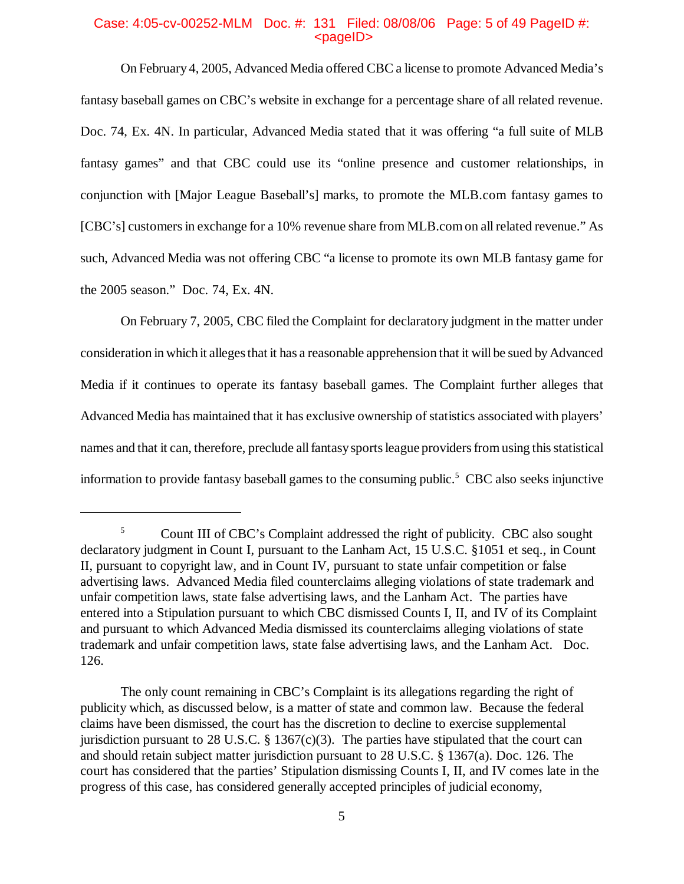#### Case: 4:05-cv-00252-MLM Doc. #: 131 Filed: 08/08/06 Page: 5 of 49 PageID #:  $<$ pageID $>$

On February 4, 2005, Advanced Media offered CBC a license to promote Advanced Media's fantasy baseball games on CBC's website in exchange for a percentage share of all related revenue. Doc. 74, Ex. 4N. In particular, Advanced Media stated that it was offering "a full suite of MLB fantasy games" and that CBC could use its "online presence and customer relationships, in conjunction with [Major League Baseball's] marks, to promote the MLB.com fantasy games to [CBC's] customers in exchange for a 10% revenue share from MLB.com on all related revenue." As such, Advanced Media was not offering CBC "a license to promote its own MLB fantasy game for the 2005 season." Doc. 74, Ex. 4N.

On February 7, 2005, CBC filed the Complaint for declaratory judgment in the matter under consideration in which it alleges that it has a reasonable apprehension that it will be sued by Advanced Media if it continues to operate its fantasy baseball games. The Complaint further alleges that Advanced Media has maintained that it has exclusive ownership of statistics associated with players' names and that it can, therefore, preclude all fantasy sports league providers from using this statistical information to provide fantasy baseball games to the consuming public.<sup>5</sup> CBC also seeks injunctive

<sup>&</sup>lt;sup>5</sup> Count III of CBC's Complaint addressed the right of publicity. CBC also sought declaratory judgment in Count I, pursuant to the Lanham Act, 15 U.S.C. §1051 et seq., in Count II, pursuant to copyright law, and in Count IV, pursuant to state unfair competition or false advertising laws. Advanced Media filed counterclaims alleging violations of state trademark and unfair competition laws, state false advertising laws, and the Lanham Act. The parties have entered into a Stipulation pursuant to which CBC dismissed Counts I, II, and IV of its Complaint and pursuant to which Advanced Media dismissed its counterclaims alleging violations of state trademark and unfair competition laws, state false advertising laws, and the Lanham Act. Doc. 126.

The only count remaining in CBC's Complaint is its allegations regarding the right of publicity which, as discussed below, is a matter of state and common law. Because the federal claims have been dismissed, the court has the discretion to decline to exercise supplemental jurisdiction pursuant to 28 U.S.C.  $\S 1367(c)(3)$ . The parties have stipulated that the court can and should retain subject matter jurisdiction pursuant to 28 U.S.C. § 1367(a). Doc. 126. The court has considered that the parties' Stipulation dismissing Counts I, II, and IV comes late in the progress of this case, has considered generally accepted principles of judicial economy,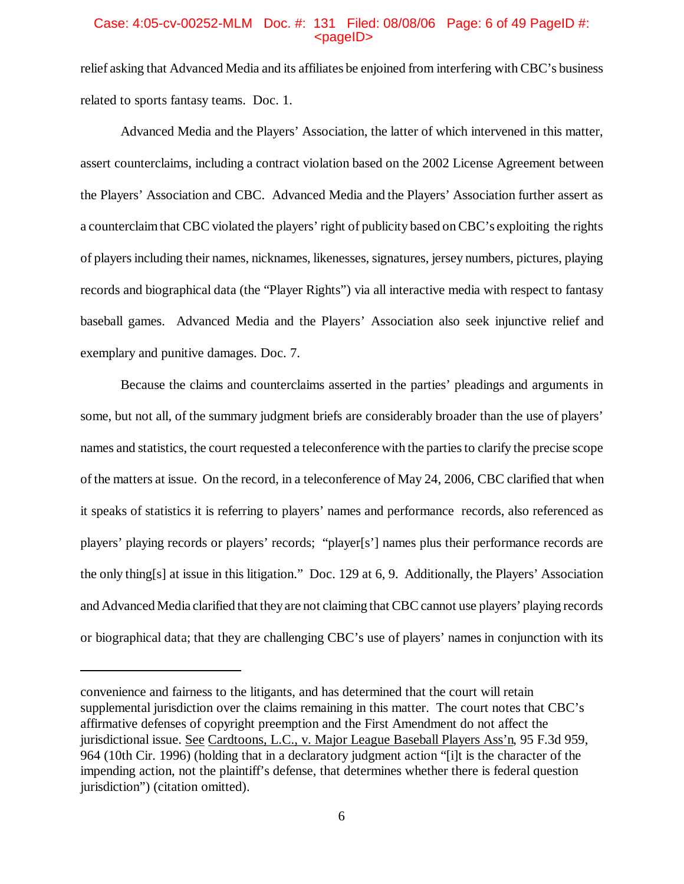#### Case: 4:05-cv-00252-MLM Doc. #: 131 Filed: 08/08/06 Page: 6 of 49 PageID #:  $<$ pageID $>$

relief asking that Advanced Media and its affiliates be enjoined from interfering with CBC's business related to sports fantasy teams. Doc. 1.

Advanced Media and the Players' Association, the latter of which intervened in this matter, assert counterclaims, including a contract violation based on the 2002 License Agreement between the Players' Association and CBC. Advanced Media and the Players' Association further assert as a counterclaimthat CBC violated the players' right of publicity based onCBC's exploiting the rights of playersincluding their names, nicknames, likenesses, signatures, jersey numbers, pictures, playing records and biographical data (the "Player Rights") via all interactive media with respect to fantasy baseball games. Advanced Media and the Players' Association also seek injunctive relief and exemplary and punitive damages. Doc. 7.

Because the claims and counterclaims asserted in the parties' pleadings and arguments in some, but not all, of the summary judgment briefs are considerably broader than the use of players' names and statistics, the court requested a teleconference with the partiesto clarify the precise scope of the matters at issue. On the record, in a teleconference of May 24, 2006, CBC clarified that when it speaks of statistics it is referring to players' names and performance records, also referenced as players' playing records or players' records; "player[s'] names plus their performance records are the only thing[s] at issue in this litigation." Doc. 129 at 6, 9. Additionally, the Players' Association and Advanced Media clarified that they are not claiming that CBC cannot use players' playing records or biographical data; that they are challenging CBC's use of players' names in conjunction with its

convenience and fairness to the litigants, and has determined that the court will retain supplemental jurisdiction over the claims remaining in this matter. The court notes that CBC's affirmative defenses of copyright preemption and the First Amendment do not affect the jurisdictional issue. See Cardtoons, L.C., v. Major League Baseball Players Ass'n, 95 F.3d 959, 964 (10th Cir. 1996) (holding that in a declaratory judgment action "[i]t is the character of the impending action, not the plaintiff's defense, that determines whether there is federal question jurisdiction") (citation omitted).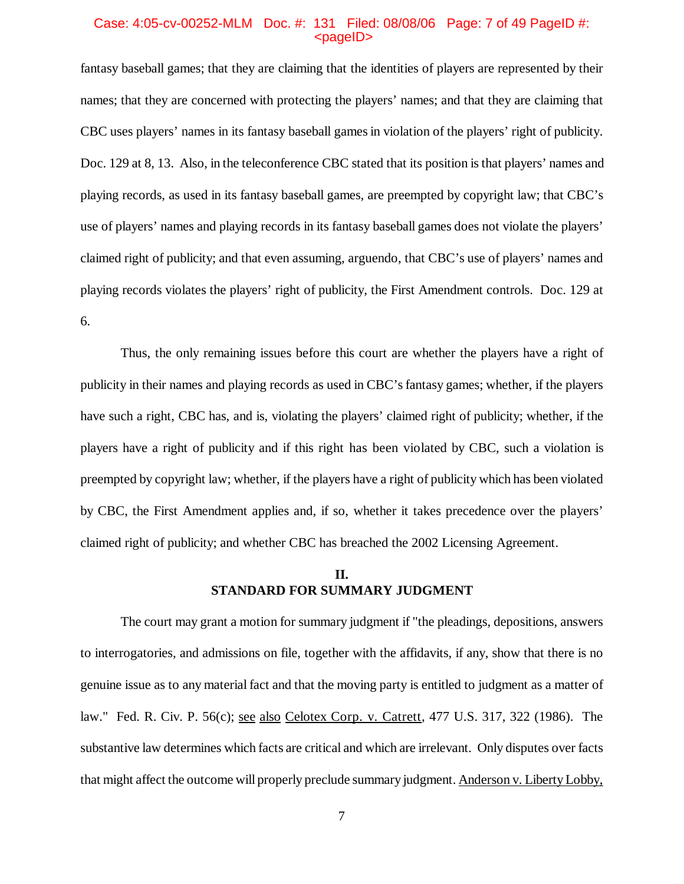#### Case: 4:05-cv-00252-MLM Doc. #: 131 Filed: 08/08/06 Page: 7 of 49 PageID #: <pageID>

fantasy baseball games; that they are claiming that the identities of players are represented by their names; that they are concerned with protecting the players' names; and that they are claiming that CBC uses players' names in its fantasy baseball games in violation of the players' right of publicity. Doc. 129 at 8, 13. Also, in the teleconference CBC stated that its position is that players' names and playing records, as used in its fantasy baseball games, are preempted by copyright law; that CBC's use of players' names and playing records in its fantasy baseball games does not violate the players' claimed right of publicity; and that even assuming, arguendo, that CBC's use of players' names and playing records violates the players' right of publicity, the First Amendment controls. Doc. 129 at 6.

Thus, the only remaining issues before this court are whether the players have a right of publicity in their names and playing records as used in CBC'sfantasy games; whether, if the players have such a right, CBC has, and is, violating the players' claimed right of publicity; whether, if the players have a right of publicity and if this right has been violated by CBC, such a violation is preempted by copyright law; whether, if the players have a right of publicity which has been violated by CBC, the First Amendment applies and, if so, whether it takes precedence over the players' claimed right of publicity; and whether CBC has breached the 2002 Licensing Agreement.

## **II. STANDARD FOR SUMMARY JUDGMENT**

The court may grant a motion for summary judgment if "the pleadings, depositions, answers to interrogatories, and admissions on file, together with the affidavits, if any, show that there is no genuine issue as to any material fact and that the moving party is entitled to judgment as a matter of law." Fed. R. Civ. P. 56(c); <u>see also Celotex Corp. v. Catrett</u>, 477 U.S. 317, 322 (1986). The substantive law determines which facts are critical and which are irrelevant. Only disputes over facts that might affect the outcome will properly preclude summary judgment. Anderson v. LibertyLobby,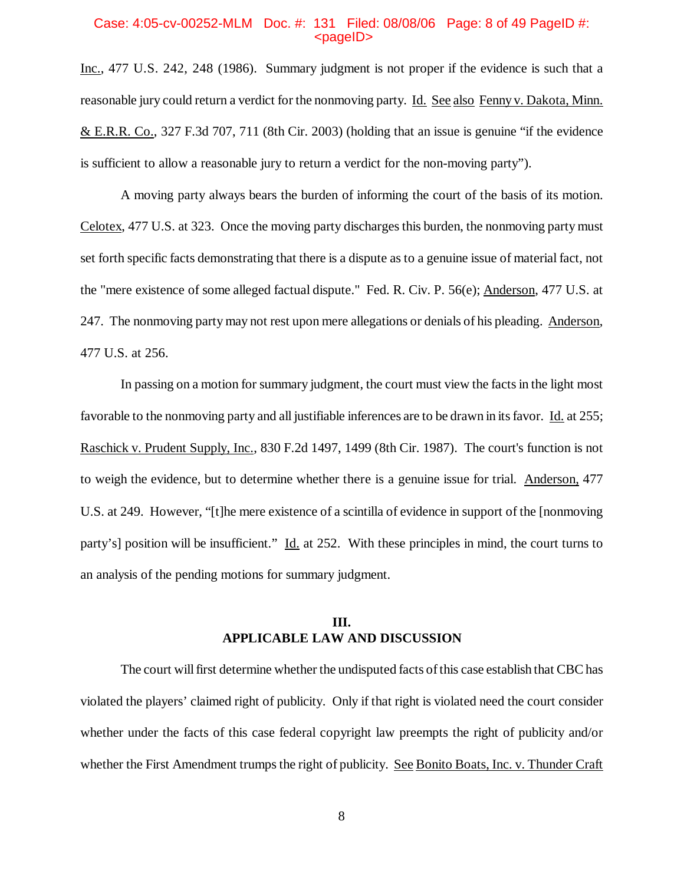#### Case: 4:05-cv-00252-MLM Doc. #: 131 Filed: 08/08/06 Page: 8 of 49 PageID #: <pageID>

Inc., 477 U.S. 242, 248 (1986). Summary judgment is not proper if the evidence is such that a reasonable jury could return a verdict for the nonmoving party. Id. See also Fenny v. Dakota, Minn. & E.R.R. Co., 327 F.3d 707, 711 (8th Cir. 2003) (holding that an issue is genuine "if the evidence is sufficient to allow a reasonable jury to return a verdict for the non-moving party").

A moving party always bears the burden of informing the court of the basis of its motion. Celotex, 477 U.S. at 323. Once the moving party discharges this burden, the nonmoving party must set forth specific facts demonstrating that there is a dispute as to a genuine issue of material fact, not the "mere existence of some alleged factual dispute." Fed. R. Civ. P. 56(e); Anderson, 477 U.S. at 247. The nonmoving party may not rest upon mere allegations or denials of his pleading. Anderson, 477 U.S. at 256.

In passing on a motion for summary judgment, the court must view the facts in the light most favorable to the nonmoving party and all justifiable inferences are to be drawn in its favor. Id. at 255; Raschick v. Prudent Supply, Inc., 830 F.2d 1497, 1499 (8th Cir. 1987). The court's function is not to weigh the evidence, but to determine whether there is a genuine issue for trial. Anderson, 477 U.S. at 249.However, "[t]he mere existence of a scintilla of evidence in support of the [nonmoving party's] position will be insufficient." Id. at 252. With these principles in mind, the court turns to an analysis of the pending motions for summary judgment.

## **III. APPLICABLE LAW AND DISCUSSION**

The court will first determine whether the undisputed facts of this case establish that CBC has violated the players' claimed right of publicity. Only if that right is violated need the court consider whether under the facts of this case federal copyright law preempts the right of publicity and/or whether the First Amendment trumps the right of publicity. See Bonito Boats, Inc. v. Thunder Craft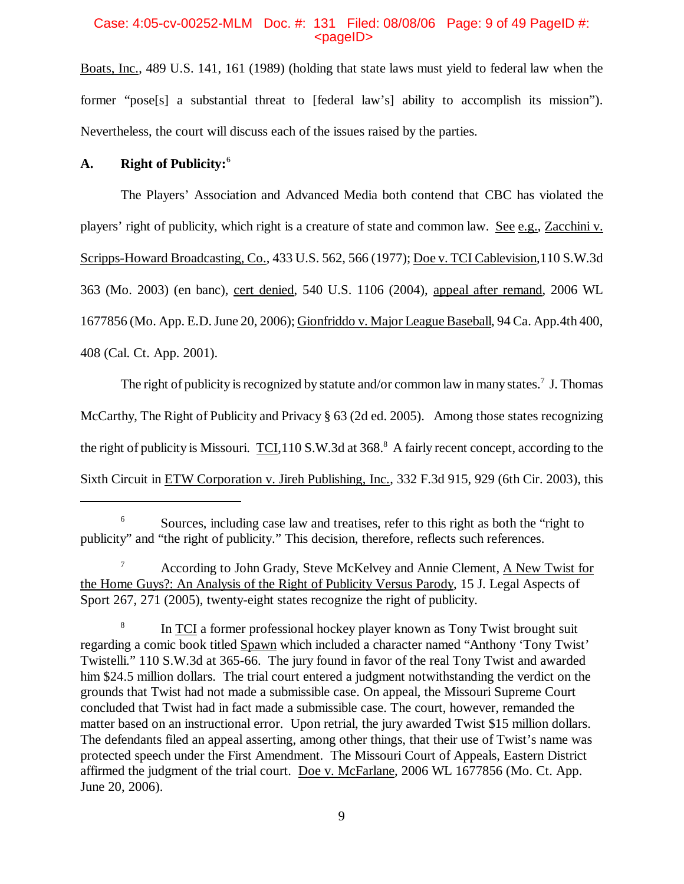### Case: 4:05-cv-00252-MLM Doc. #: 131 Filed: 08/08/06 Page: 9 of 49 PageID #:  $<$ pageID $>$

Boats, Inc., 489 U.S. 141, 161 (1989) (holding that state laws must yield to federal law when the former "pose[s] a substantial threat to [federal law's] ability to accomplish its mission"). Nevertheless, the court will discuss each of the issues raised by the parties.

## **A. Right of Publicity:**<sup>6</sup>

The Players' Association and Advanced Media both contend that CBC has violated the players' right of publicity, which right is a creature of state and common law. See e.g., Zacchini v. Scripps-Howard Broadcasting, Co., 433 U.S. 562, 566 (1977); Doe v. TCI Cablevision,110 S.W.3d 363 (Mo. 2003) (en banc), cert denied, 540 U.S. 1106 (2004), appeal after remand, 2006 WL 1677856 (Mo. App. E.D.June 20, 2006); Gionfriddo v. Major League Baseball, 94 Ca. App.4th 400, 408 (Cal. Ct. App. 2001).

The right of publicity is recognized by statute and/or common law in many states.<sup>7</sup> J. Thomas McCarthy, The Right of Publicity and Privacy § 63 (2d ed. 2005). Among those states recognizing the right of publicity is Missouri. TCI,110 S.W.3d at 368.<sup>8</sup> A fairly recent concept, according to the Sixth Circuit in ETW Corporation v. Jireh Publishing, Inc., 332 F.3d 915, 929 (6th Cir. 2003), this

<sup>&</sup>lt;sup>6</sup> Sources, including case law and treatises, refer to this right as both the "right to" publicity" and "the right of publicity." This decision, therefore, reflects such references.

<sup>7</sup> According to John Grady, Steve McKelvey and Annie Clement, A New Twist for the Home Guys?: An Analysis of the Right of Publicity Versus Parody, 15 J. Legal Aspects of Sport 267, 271 (2005), twenty-eight states recognize the right of publicity.

<sup>8</sup> In TCI a former professional hockey player known as Tony Twist brought suit regarding a comic book titled Spawn which included a character named "Anthony 'Tony Twist' Twistelli." 110 S.W.3d at 365-66. The jury found in favor of the real Tony Twist and awarded him \$24.5 million dollars. The trial court entered a judgment notwithstanding the verdict on the grounds that Twist had not made a submissible case. On appeal, the Missouri Supreme Court concluded that Twist had in fact made a submissible case. The court, however, remanded the matter based on an instructional error. Upon retrial, the jury awarded Twist \$15 million dollars. The defendants filed an appeal asserting, among other things, that their use of Twist's name was protected speech under the First Amendment. The Missouri Court of Appeals, Eastern District affirmed the judgment of the trial court. Doe v. McFarlane, 2006 WL 1677856 (Mo. Ct. App. June 20, 2006).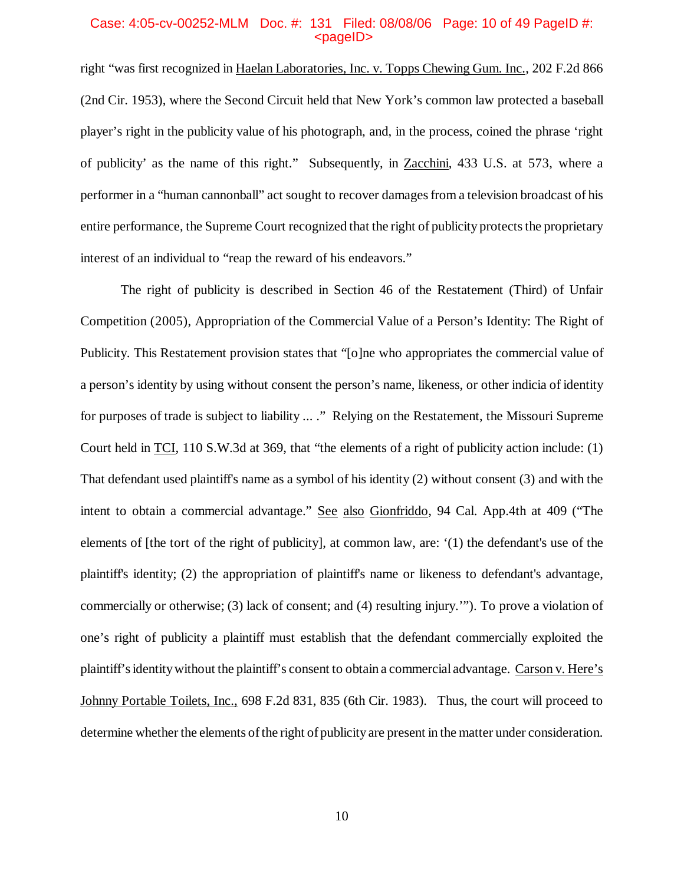#### Case: 4:05-cv-00252-MLM Doc. #: 131 Filed: 08/08/06 Page: 10 of 49 PageID #: <pageID>

right "was first recognized in Haelan Laboratories, Inc. v. Topps Chewing Gum. Inc., 202 F.2d 866 (2nd Cir. 1953), where the Second Circuit held that New York's common law protected a baseball player's right in the publicity value of his photograph, and, in the process, coined the phrase 'right of publicity' as the name of this right." Subsequently, in Zacchini, 433 U.S. at 573, where a performer in a "human cannonball" act sought to recover damages from a television broadcast of his entire performance, the Supreme Court recognized that the right of publicity protects the proprietary interest of an individual to "reap the reward of his endeavors."

The right of publicity is described in Section 46 of the Restatement (Third) of Unfair Competition (2005), Appropriation of the Commercial Value of a Person's Identity: The Right of Publicity. This Restatement provision states that "[o]ne who appropriates the commercial value of a person's identity by using without consent the person's name, likeness, or other indicia of identity for purposes of trade is subject to liability ... ." Relying on the Restatement, the Missouri Supreme Court held in TCI, 110 S.W.3d at 369, that "the elements of a right of publicity action include: (1) That defendant used plaintiff's name as a symbol of his identity (2) without consent (3) and with the intent to obtain a commercial advantage." See also Gionfriddo, 94 Cal. App.4th at 409 ("The elements of [the tort of the right of publicity], at common law, are: '(1) the defendant's use of the plaintiff's identity; (2) the appropriation of plaintiff's name or likeness to defendant's advantage, commercially or otherwise; (3) lack of consent; and (4) resulting injury.'"). To prove a violation of one's right of publicity a plaintiff must establish that the defendant commercially exploited the plaintiff'sidentitywithout the plaintiff's consent to obtain a commercial advantage. Carson v. Here's Johnny Portable Toilets, Inc., 698 F.2d 831, 835 (6th Cir. 1983). Thus, the court will proceed to determine whether the elements of the right of publicity are present in the matter under consideration.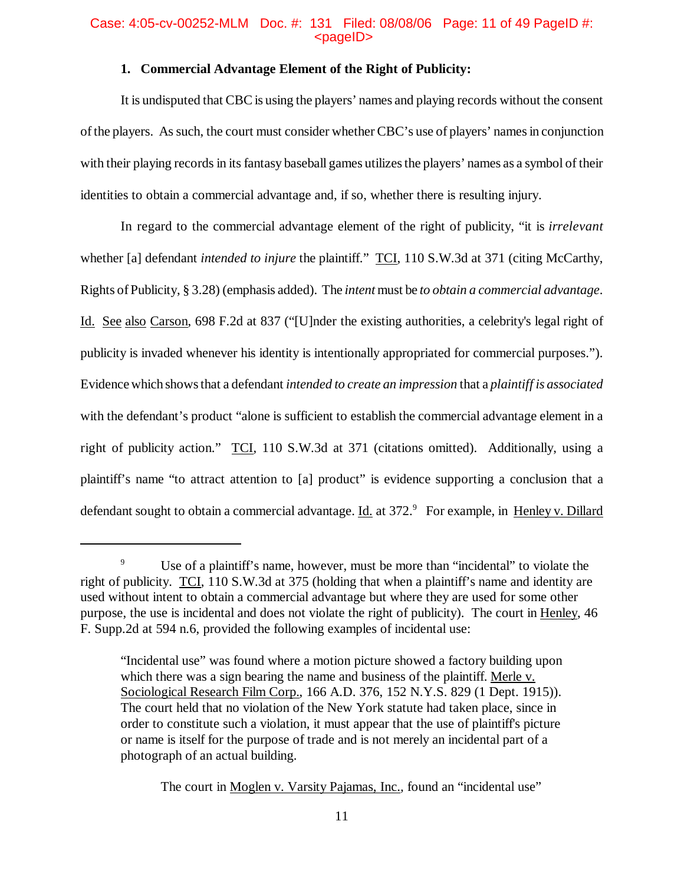### Case: 4:05-cv-00252-MLM Doc. #: 131 Filed: 08/08/06 Page: 11 of 49 PageID #:  $<$ pageID $>$

## **1. Commercial Advantage Element of the Right of Publicity:**

It is undisputed that CBC is using the players' names and playing records without the consent ofthe players. Assuch, the court must consider whether CBC's use of players' namesin conjunction with their playing records in its fantasy baseball games utilizes the players' names as a symbol of their identities to obtain a commercial advantage and, if so, whether there is resulting injury.

In regard to the commercial advantage element of the right of publicity, "it is *irrelevant* whether [a] defendant *intended to injure* the plaintiff." TCI, 110 S.W.3d at 371 (citing McCarthy, Rights of Publicity, § 3.28) (emphasis added). The *intent* must be *to obtain a commercial advantage*. Id. See also Carson, 698 F.2d at 837 ("[U]nder the existing authorities, a celebrity's legal right of publicity is invaded whenever his identity is intentionally appropriated for commercial purposes."). Evidence which showsthat a defendant *intended to create an impression* that a *plaintiff is associated* with the defendant's product "alone is sufficient to establish the commercial advantage element in a right of publicity action." TCI, 110 S.W.3d at 371 (citations omitted). Additionally, using a plaintiff's name "to attract attention to [a] product" is evidence supporting a conclusion that a defendant sought to obtain a commercial advantage. *Id.* at 372.<sup>9</sup> For example, in Henley v. Dillard

The court in Moglen v. Varsity Pajamas, Inc.*,* found an "incidental use"

<sup>&</sup>lt;sup>9</sup> Use of a plaintiff's name, however, must be more than "incidental" to violate the right of publicity. TCI, 110 S.W.3d at 375 (holding that when a plaintiff's name and identity are used without intent to obtain a commercial advantage but where they are used for some other purpose, the use is incidental and does not violate the right of publicity). The court in Henley, 46 F. Supp.2d at 594 n.6, provided the following examples of incidental use:

<sup>&</sup>quot;Incidental use" was found where a motion picture showed a factory building upon which there was a sign bearing the name and business of the plaintiff. Merle v. Sociological Research Film Corp., 166 A.D. 376, 152 N.Y.S. 829 (1 Dept. 1915)). The court held that no violation of the New York statute had taken place, since in order to constitute such a violation, it must appear that the use of plaintiff's picture or name is itself for the purpose of trade and is not merely an incidental part of a photograph of an actual building.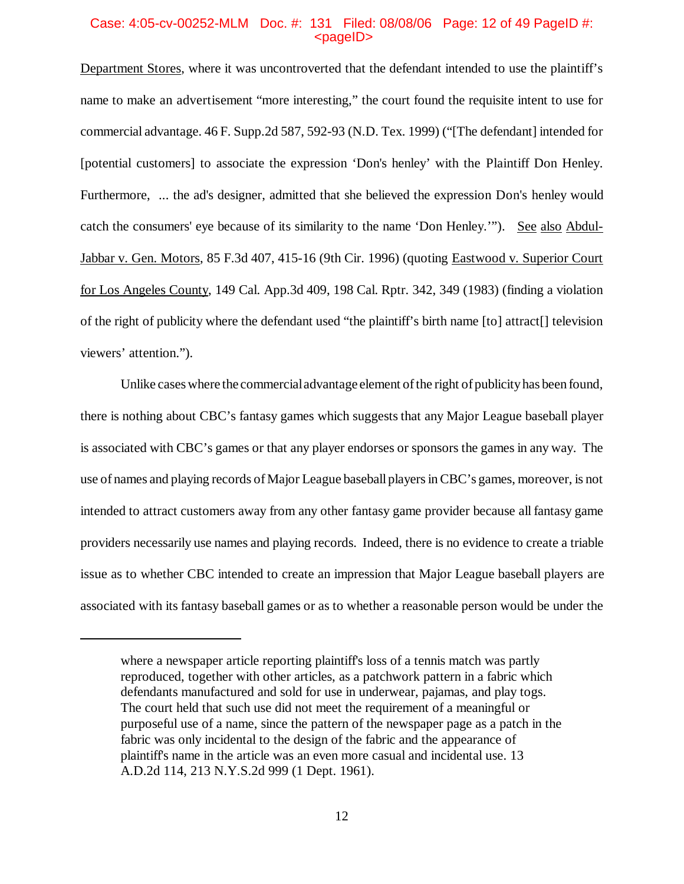#### Case: 4:05-cv-00252-MLM Doc. #: 131 Filed: 08/08/06 Page: 12 of 49 PageID #:  $<$ pageID $>$

Department Stores, where it was uncontroverted that the defendant intended to use the plaintiff's name to make an advertisement "more interesting," the court found the requisite intent to use for commercial advantage. 46 F. Supp.2d 587, 592-93 (N.D. Tex. 1999) ("[The defendant] intended for [potential customers] to associate the expression 'Don's henley' with the Plaintiff Don Henley. Furthermore, ... the ad's designer, admitted that she believed the expression Don's henley would catch the consumers' eye because of its similarity to the name 'Don Henley.'"). See also Abdul-Jabbar v. Gen. Motors, 85 F.3d 407, 415-16 (9th Cir. 1996) (quoting Eastwood v. Superior Court for Los Angeles County, 149 Cal. App.3d 409, 198 Cal. Rptr. 342, 349 (1983) (finding a violation of the right of publicity where the defendant used "the plaintiff's birth name [to] attract[] television viewers' attention.").

Unlike cases where the commercial advantage element of the right of publicity has been found, there is nothing about CBC's fantasy games which suggeststhat any Major League baseball player is associated with CBC's games or that any player endorses or sponsors the games in any way. The use of names and playing records of Major League baseball players in CBC's games, moreover, is not intended to attract customers away from any other fantasy game provider because all fantasy game providers necessarily use names and playing records. Indeed, there is no evidence to create a triable issue as to whether CBC intended to create an impression that Major League baseball players are associated with its fantasy baseball games or as to whether a reasonable person would be under the

where a newspaper article reporting plaintiff's loss of a tennis match was partly reproduced, together with other articles, as a patchwork pattern in a fabric which defendants manufactured and sold for use in underwear, pajamas, and play togs. The court held that such use did not meet the requirement of a meaningful or purposeful use of a name, since the pattern of the newspaper page as a patch in the fabric was only incidental to the design of the fabric and the appearance of plaintiff's name in the article was an even more casual and incidental use. 13 A.D.2d 114, 213 N.Y.S.2d 999 (1 Dept. 1961).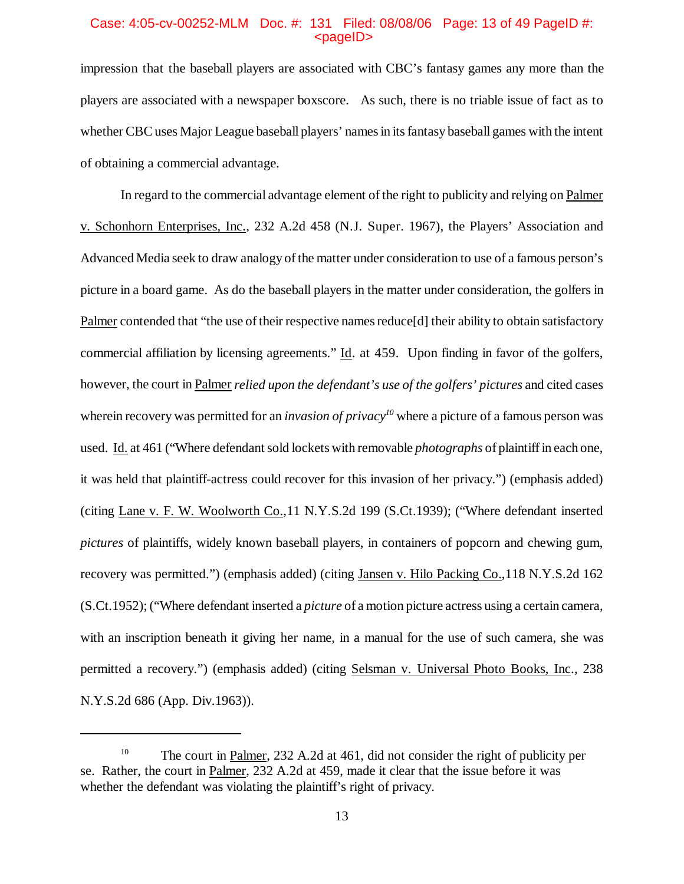#### Case: 4:05-cv-00252-MLM Doc. #: 131 Filed: 08/08/06 Page: 13 of 49 PageID #:  $<$ pageID $>$

impression that the baseball players are associated with CBC's fantasy games any more than the players are associated with a newspaper boxscore. As such, there is no triable issue of fact as to whether CBC uses Major League baseball players' names in its fantasy baseball games with the intent of obtaining a commercial advantage.

In regard to the commercial advantage element of the right to publicity and relying on Palmer v. Schonhorn Enterprises, Inc., 232 A.2d 458 (N.J. Super. 1967), the Players' Association and Advanced Media seek to draw analogy of the matter under consideration to use of a famous person's picture in a board game. As do the baseball players in the matter under consideration, the golfers in Palmer contended that "the use of their respective names reduce[d] their ability to obtain satisfactory commercial affiliation by licensing agreements." Id. at 459. Upon finding in favor of the golfers, however, the court in Palmer *relied upon the defendant's use of the golfers' pictures* and cited cases wherein recovery was permitted for an *invasion of privacy<sup>10</sup>* where a picture of a famous person was used. Id. at 461 ("Where defendant sold lockets with removable *photographs* of plaintiff in each one, it was held that plaintiff-actress could recover for this invasion of her privacy.") (emphasis added) (citing Lane v. F. W. Woolworth Co.,11 N.Y.S.2d 199 (S.Ct.1939); ("Where defendant inserted *pictures* of plaintiffs, widely known baseball players, in containers of popcorn and chewing gum, recovery was permitted.") (emphasis added) (citing Jansen v. Hilo Packing Co.,118 N.Y.S.2d 162 (S.Ct.1952); ("Where defendant inserted a *picture* of a motion picture actress using a certain camera, with an inscription beneath it giving her name, in a manual for the use of such camera, she was permitted a recovery.") (emphasis added) (citing Selsman v. Universal Photo Books, Inc., 238 N.Y.S.2d 686 (App. Div.1963)).

<sup>&</sup>lt;sup>10</sup> The court in Palmer, 232 A.2d at 461, did not consider the right of publicity per se. Rather, the court in Palmer, 232 A.2d at 459, made it clear that the issue before it was whether the defendant was violating the plaintiff's right of privacy.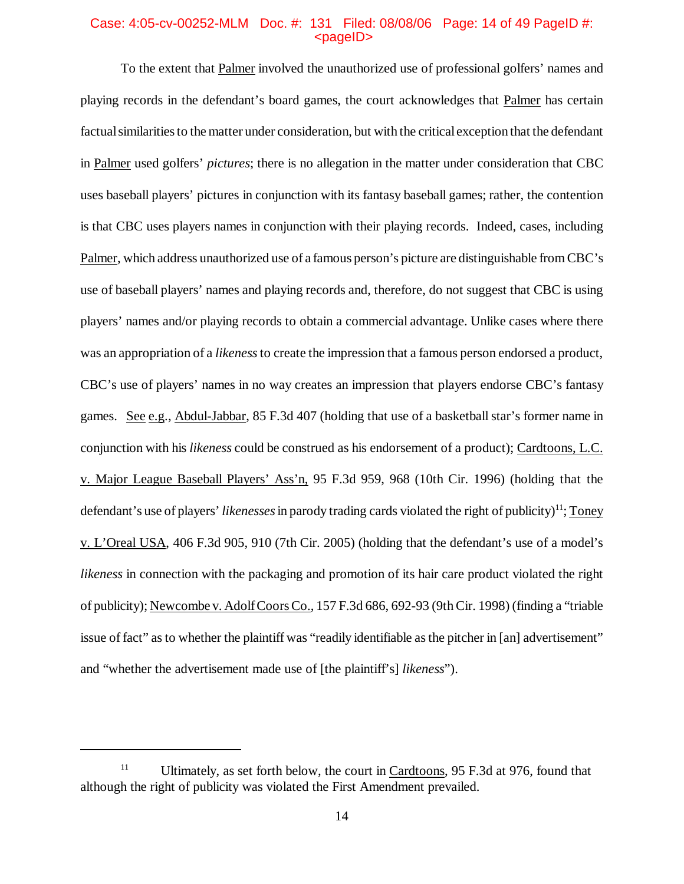#### Case: 4:05-cv-00252-MLM Doc. #: 131 Filed: 08/08/06 Page: 14 of 49 PageID #: <pageID>

To the extent that Palmer involved the unauthorized use of professional golfers' names and playing records in the defendant's board games, the court acknowledges that Palmer has certain factual similarities to the matter under consideration, but with the critical exception that the defendant in Palmer used golfers' *pictures*; there is no allegation in the matter under consideration that CBC uses baseball players' pictures in conjunction with its fantasy baseball games; rather, the contention is that CBC uses players names in conjunction with their playing records. Indeed, cases, including Palmer, which address unauthorized use of a famous person's picture are distinguishable fromCBC's use of baseball players' names and playing records and, therefore, do not suggest that CBC is using players' names and/or playing records to obtain a commercial advantage. Unlike cases where there was an appropriation of a *likeness*to create the impression that a famous person endorsed a product, CBC's use of players' names in no way creates an impression that players endorse CBC's fantasy games. See e.g., Abdul-Jabbar, 85 F.3d 407 (holding that use of a basketballstar's former name in conjunction with his *likeness* could be construed as his endorsement of a product); Cardtoons, L.C. v. Major League Baseball Players' Ass'n, 95 F.3d 959, 968 (10th Cir. 1996) (holding that the defendant's use of players' *likenesses* in parody trading cards violated the right of publicity)<sup>11</sup>; Toney v. L'Oreal USA, 406 F.3d 905, 910 (7th Cir. 2005) (holding that the defendant's use of a model's *likeness* in connection with the packaging and promotion of its hair care product violated the right of publicity); Newcombe v. AdolfCoorsCo., 157 F.3d 686, 692-93 (9th Cir. 1998) (finding a "triable issue of fact" as to whether the plaintiff was "readily identifiable as the pitcher in [an] advertisement" and "whether the advertisement made use of [the plaintiff's] *likeness*").

<sup>&</sup>lt;sup>11</sup> Ultimately, as set forth below, the court in Cardtoons, 95 F.3d at 976, found that although the right of publicity was violated the First Amendment prevailed.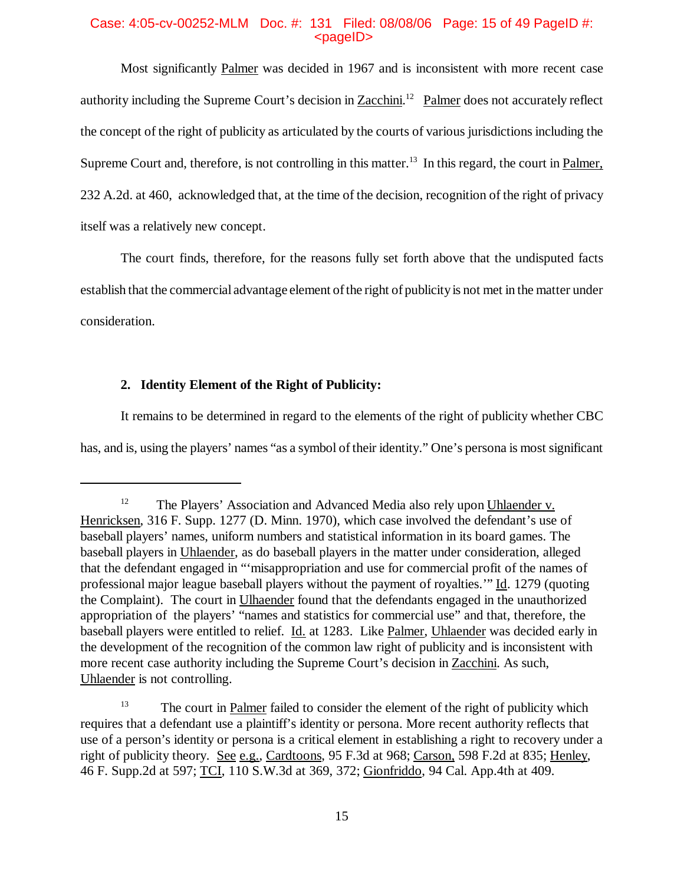## Case: 4:05-cv-00252-MLM Doc. #: 131 Filed: 08/08/06 Page: 15 of 49 PageID #:  $<$ pageID $>$

Most significantly Palmer was decided in 1967 and is inconsistent with more recent case authority including the Supreme Court's decision in Zacchini.<sup>12</sup> Palmer does not accurately reflect the concept of the right of publicity as articulated by the courts of various jurisdictions including the Supreme Court and, therefore, is not controlling in this matter.<sup>13</sup> In this regard, the court in Palmer, 232 A.2d. at 460, acknowledged that, at the time of the decision, recognition of the right of privacy itself was a relatively new concept.

The court finds, therefore, for the reasons fully set forth above that the undisputed facts establish that the commercial advantage element ofthe right of publicityis not met in the matter under consideration.

## **2. Identity Element of the Right of Publicity:**

It remains to be determined in regard to the elements of the right of publicity whether CBC has, and is, using the players' names "as a symbol of their identity." One's persona is most significant

<sup>&</sup>lt;sup>12</sup> The Players' Association and Advanced Media also rely upon Uhlaender v. Henricksen, 316 F. Supp. 1277 (D. Minn. 1970), which case involved the defendant's use of baseball players' names, uniform numbers and statistical information in its board games. The baseball players in Uhlaender, as do baseball players in the matter under consideration, alleged that the defendant engaged in "'misappropriation and use for commercial profit of the names of professional major league baseball players without the payment of royalties." Id. 1279 (quoting the Complaint). The court in Ulhaender found that the defendants engaged in the unauthorized appropriation of the players' "names and statistics for commercial use" and that, therefore, the baseball players were entitled to relief. Id. at 1283. Like Palmer, Uhlaender was decided early in the development of the recognition of the common law right of publicity and is inconsistent with more recent case authority including the Supreme Court's decision in Zacchini. As such, Uhlaender is not controlling.

<sup>&</sup>lt;sup>13</sup> The court in Palmer failed to consider the element of the right of publicity which requires that a defendant use a plaintiff's identity or persona. More recent authority reflects that use of a person's identity or persona is a critical element in establishing a right to recovery under a right of publicity theory. See e.g., Cardtoons, 95 F.3d at 968; Carson, 598 F.2d at 835; Henley, 46 F. Supp.2d at 597; TCI, 110 S.W.3d at 369, 372; Gionfriddo, 94 Cal. App.4th at 409.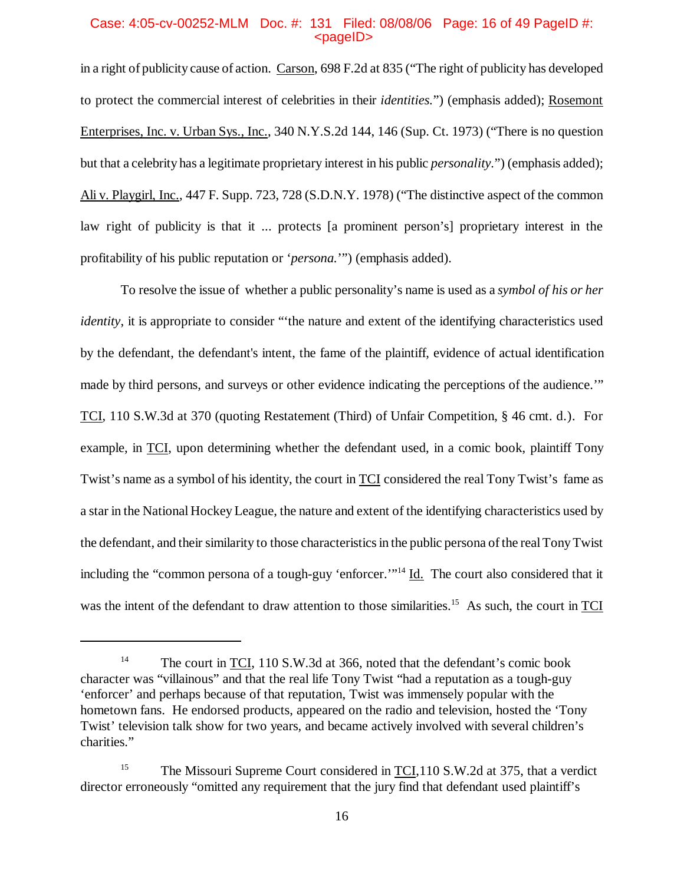#### Case: 4:05-cv-00252-MLM Doc. #: 131 Filed: 08/08/06 Page: 16 of 49 PageID #:  $<$ pageID $>$

in a right of publicity cause of action. Carson, 698 F.2d at 835 ("The right of publicity has developed to protect the commercial interest of celebrities in their *identities.*") (emphasis added); Rosemont Enterprises, Inc. v. Urban Sys., Inc., 340 N.Y.S.2d 144, 146 (Sup. Ct. 1973) ("There is no question but that a celebrity has a legitimate proprietary interest in his public *personality.*") (emphasis added); Ali v. Playgirl, Inc., 447 F. Supp. 723, 728 (S.D.N.Y. 1978) ("The distinctive aspect of the common law right of publicity is that it ... protects [a prominent person's] proprietary interest in the profitability of his public reputation or '*persona.*'") (emphasis added).

To resolve the issue of whether a public personality's name is used as a *symbol of his or her identity*, it is appropriate to consider "the nature and extent of the identifying characteristics used by the defendant, the defendant's intent, the fame of the plaintiff, evidence of actual identification made by third persons, and surveys or other evidence indicating the perceptions of the audience.'" TCI, 110 S.W.3d at 370 (quoting Restatement (Third) of Unfair Competition, § 46 cmt. d.). For example, in <u>TCI</u>, upon determining whether the defendant used, in a comic book, plaintiff Tony Twist's name as a symbol of his identity, the court in TCI considered the real Tony Twist's fame as a star in the National HockeyLeague, the nature and extent of the identifying characteristics used by the defendant, and their similarity to those characteristics in the public persona of the real Tony Twist including the "common persona of a tough-guy 'enforcer."<sup>14</sup> Id. The court also considered that it was the intent of the defendant to draw attention to those similarities.<sup>15</sup> As such, the court in TCI

<sup>&</sup>lt;sup>14</sup> The court in TCI, 110 S.W.3d at 366, noted that the defendant's comic book character was "villainous" and that the real life Tony Twist "had a reputation as a tough-guy 'enforcer' and perhaps because of that reputation, Twist was immensely popular with the hometown fans. He endorsed products, appeared on the radio and television, hosted the 'Tony Twist' television talk show for two years, and became actively involved with several children's charities."

<sup>&</sup>lt;sup>15</sup> The Missouri Supreme Court considered in TCI, 110 S.W. 2d at 375, that a verdict director erroneously "omitted any requirement that the jury find that defendant used plaintiff's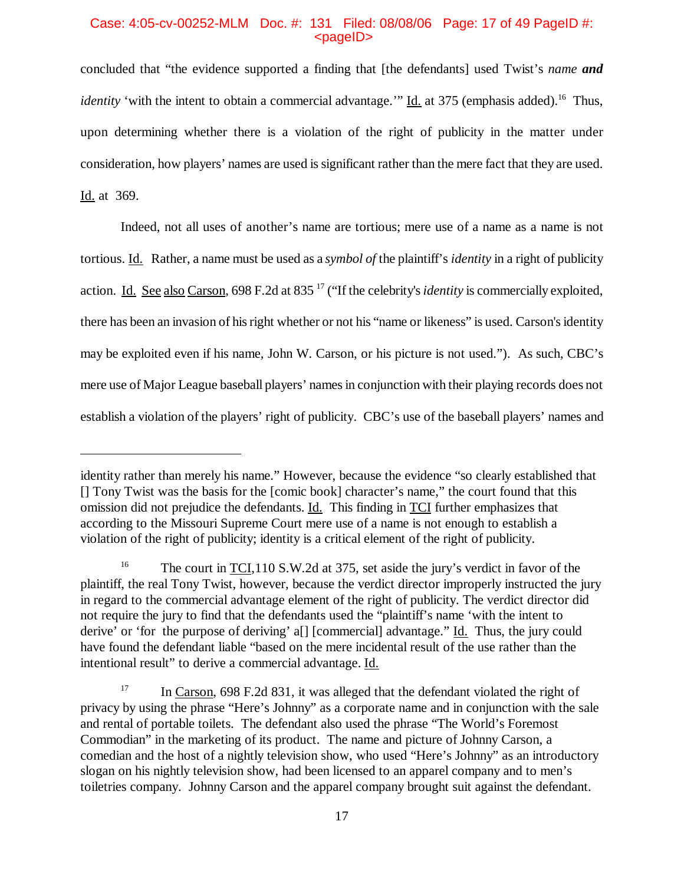### Case: 4:05-cv-00252-MLM Doc. #: 131 Filed: 08/08/06 Page: 17 of 49 PageID #:  $<$ pageID $>$

concluded that "the evidence supported a finding that [the defendants] used Twist's *name and identity* 'with the intent to obtain a commercial advantage.'" Id. at 375 (emphasis added).<sup>16</sup> Thus, upon determining whether there is a violation of the right of publicity in the matter under consideration, how players' names are used issignificant rather than the mere fact that they are used. Id. at 369.

Indeed, not all uses of another's name are tortious; mere use of a name as a name is not tortious. Id. Rather, a name must be used as a *symbol of* the plaintiff's *identity* in a right of publicity action. Id. See also Carson, 698 F.2d at 835 <sup>17</sup> ("If the celebrity's*identity* is commercially exploited, there has been an invasion of hisright whether or not his "name or likeness" is used. Carson'sidentity may be exploited even if his name, John W. Carson, or his picture is not used."). As such, CBC's mere use of Major League baseball players' namesin conjunction with their playing records does not establish a violation of the players' right of publicity. CBC's use of the baseball players' names and

identity rather than merely his name." However, because the evidence "so clearly established that [] Tony Twist was the basis for the [comic book] character's name," the court found that this omission did not prejudice the defendants. Id. This finding in TCI further emphasizes that according to the Missouri Supreme Court mere use of a name is not enough to establish a violation of the right of publicity; identity is a critical element of the right of publicity.

<sup>&</sup>lt;sup>16</sup> The court in TCI,110 S.W.2d at 375, set aside the jury's verdict in favor of the plaintiff, the real Tony Twist, however, because the verdict director improperly instructed the jury in regard to the commercial advantage element of the right of publicity. The verdict director did not require the jury to find that the defendants used the "plaintiff's name 'with the intent to derive' or 'for the purpose of deriving' a[] [commercial] advantage." Id. Thus, the jury could have found the defendant liable "based on the mere incidental result of the use rather than the intentional result" to derive a commercial advantage. Id.

<sup>&</sup>lt;sup>17</sup> In Carson, 698 F.2d 831, it was alleged that the defendant violated the right of privacy by using the phrase "Here's Johnny" as a corporate name and in conjunction with the sale and rental of portable toilets. The defendant also used the phrase "The World's Foremost Commodian" in the marketing of its product. The name and picture of Johnny Carson, a comedian and the host of a nightly television show, who used "Here's Johnny" as an introductory slogan on his nightly television show, had been licensed to an apparel company and to men's toiletries company. Johnny Carson and the apparel company brought suit against the defendant.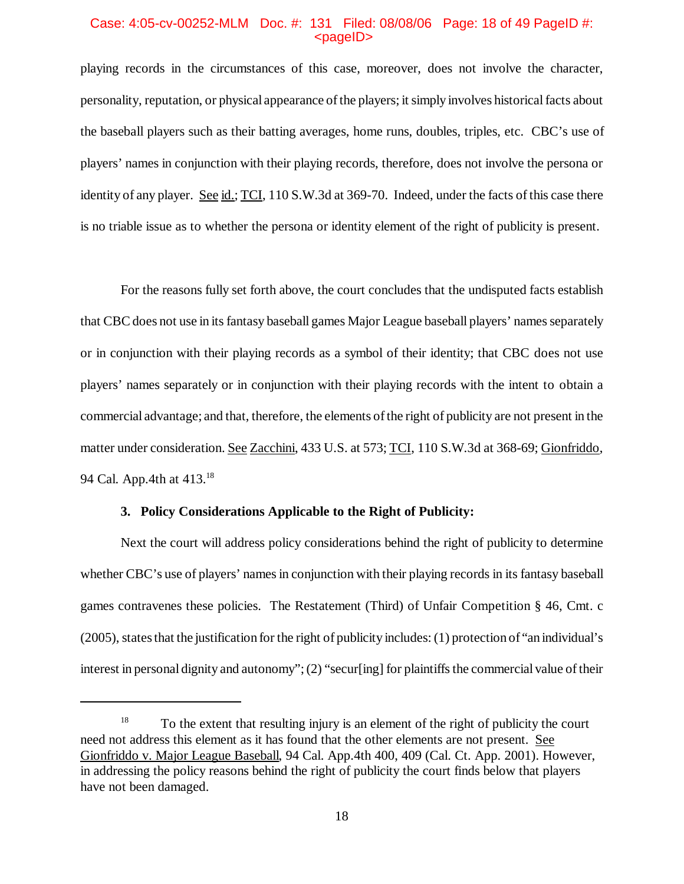#### Case: 4:05-cv-00252-MLM Doc. #: 131 Filed: 08/08/06 Page: 18 of 49 PageID #:  $<$ pageID $>$

playing records in the circumstances of this case, moreover, does not involve the character, personality, reputation, or physical appearance ofthe players; it simply involves historicalfacts about the baseball players such as their batting averages, home runs, doubles, triples, etc. CBC's use of players' names in conjunction with their playing records, therefore, does not involve the persona or identity of any player. See id.; TCI, 110 S.W.3d at 369-70. Indeed, under the facts of this case there is no triable issue as to whether the persona or identity element of the right of publicity is present.

For the reasons fully set forth above, the court concludes that the undisputed facts establish that CBC does not use in its fantasy baseball games Major League baseball players' names separately or in conjunction with their playing records as a symbol of their identity; that CBC does not use players' names separately or in conjunction with their playing records with the intent to obtain a commercial advantage; and that, therefore, the elements of the right of publicity are not present in the matter under consideration. See Zacchini, 433 U.S. at 573; TCI, 110 S.W.3d at 368-69; Gionfriddo, 94 Cal. App. 4th at 413.<sup>18</sup>

## **3. Policy Considerations Applicable to the Right of Publicity:**

Next the court will address policy considerations behind the right of publicity to determine whether CBC's use of players' names in conjunction with their playing records in its fantasy baseball games contravenes these policies. The Restatement (Third) of Unfair Competition § 46, Cmt. c  $(2005)$ , states that the justification for the right of publicity includes: (1) protection of "an individual's interest in personal dignity and autonomy"; (2) "secur[ing] for plaintiffs the commercial value of their

 $18$  To the extent that resulting injury is an element of the right of publicity the court need not address this element as it has found that the other elements are not present. See Gionfriddo v. Major League Baseball, 94 Cal. App.4th 400, 409 (Cal. Ct. App. 2001). However, in addressing the policy reasons behind the right of publicity the court finds below that players have not been damaged.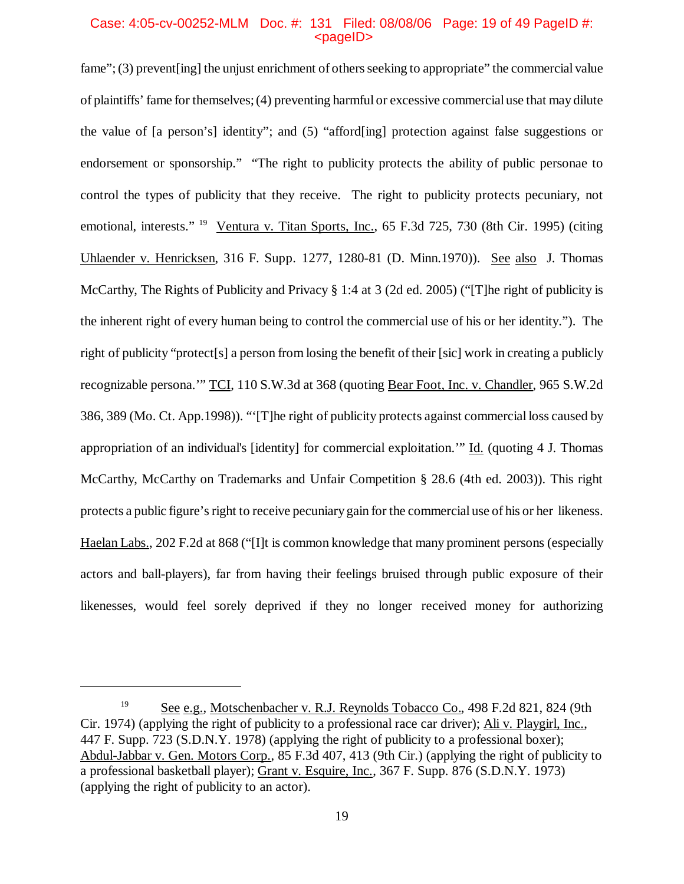#### Case: 4:05-cv-00252-MLM Doc. #: 131 Filed: 08/08/06 Page: 19 of 49 PageID #:  $<$ pageID $>$

fame";  $(3)$  prevent [ing] the unjust enrichment of others seeking to appropriate" the commercial value of plaintiffs' fame for themselves;(4) preventing harmful or excessive commercial use that may dilute the value of [a person's] identity"; and (5) "afford[ing] protection against false suggestions or endorsement or sponsorship." "The right to publicity protects the ability of public personae to control the types of publicity that they receive. The right to publicity protects pecuniary, not emotional, interests." <sup>19</sup> Ventura v. Titan Sports, Inc., 65 F.3d 725, 730 (8th Cir. 1995) (citing Uhlaender v. Henricksen, 316 F. Supp. 1277, 1280-81 (D. Minn.1970)). See also J. Thomas McCarthy, The Rights of Publicity and Privacy § 1:4 at 3 (2d ed. 2005) ("The right of publicity is the inherent right of every human being to control the commercial use of his or her identity."). The right of publicity "protect[s] a person from losing the benefit of their [sic] work in creating a publicly recognizable persona.'" TCI, 110 S.W.3d at 368 (quoting Bear Foot, Inc. v. Chandler, 965 S.W.2d 386, 389 (Mo. Ct. App.1998)). "'[T]he right of publicity protects against commercial loss caused by appropriation of an individual's [identity] for commercial exploitation.'" Id. (quoting 4 J. Thomas McCarthy, McCarthy on Trademarks and Unfair Competition § 28.6 (4th ed. 2003)). This right protects a public figure's right to receive pecuniary gain for the commercial use of his or her likeness. Haelan Labs., 202 F.2d at 868 ("[I]t is common knowledge that many prominent persons (especially actors and ball-players), far from having their feelings bruised through public exposure of their likenesses, would feel sorely deprived if they no longer received money for authorizing

<sup>&</sup>lt;sup>19</sup> See e.g., Motschenbacher v. R.J. Reynolds Tobacco Co., 498 F.2d 821, 824 (9th Cir. 1974) (applying the right of publicity to a professional race car driver); Ali v. Playgirl, Inc., 447 F. Supp. 723 (S.D.N.Y. 1978) (applying the right of publicity to a professional boxer); Abdul-Jabbar v. Gen. Motors Corp., 85 F.3d 407, 413 (9th Cir.) (applying the right of publicity to a professional basketball player); Grant v. Esquire, Inc., 367 F. Supp. 876 (S.D.N.Y. 1973) (applying the right of publicity to an actor).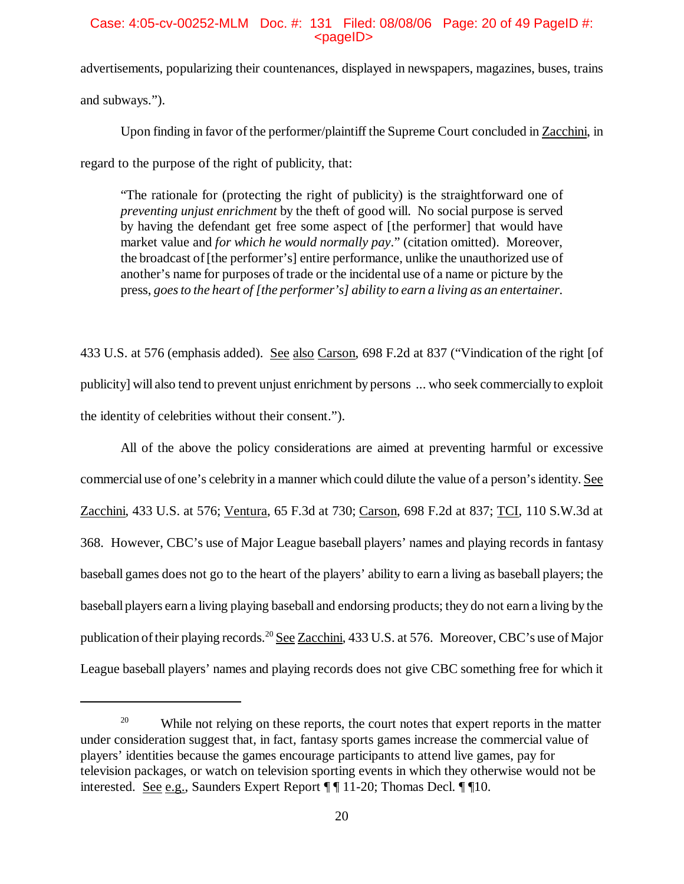## Case: 4:05-cv-00252-MLM Doc. #: 131 Filed: 08/08/06 Page: 20 of 49 PageID #:  $<$ pageID $>$

advertisements, popularizing their countenances, displayed in newspapers, magazines, buses, trains and subways.").

Upon finding in favor of the performer/plaintiff the Supreme Court concluded in Zacchini, in regard to the purpose of the right of publicity, that:

"The rationale for (protecting the right of publicity) is the straightforward one of *preventing unjust enrichment* by the theft of good will. No social purpose is served by having the defendant get free some aspect of [the performer] that would have market value and *for which he would normally pay*." (citation omitted). Moreover, the broadcast of[the performer's] entire performance, unlike the unauthorized use of another's name for purposes of trade or the incidental use of a name or picture by the press, *goesto the heart of [the performer's] ability to earn a living as an entertainer*.

433 U.S. at 576 (emphasis added). See also Carson, 698 F.2d at 837 ("Vindication of the right [of publicity] will also tend to prevent unjust enrichment by persons ... who seek commercially to exploit the identity of celebrities without their consent.").

All of the above the policy considerations are aimed at preventing harmful or excessive commercial use of one's celebrity in a manner which could dilute the value of a person'sidentity. See Zacchini, 433 U.S. at 576; Ventura, 65 F.3d at 730; Carson, 698 F.2d at 837; TCI, 110 S.W.3d at 368. However, CBC's use of Major League baseball players' names and playing records in fantasy baseball games does not go to the heart of the players' ability to earn a living as baseball players; the baseball players earn a living playing baseball and endorsing products; they do not earn a living by the publication of their playing records.<sup>20</sup> See Zacchini, 433 U.S. at 576. Moreover, CBC's use of Major League baseball players' names and playing records does not give CBC something free for which it

<sup>&</sup>lt;sup>20</sup> While not relying on these reports, the court notes that expert reports in the matter under consideration suggest that, in fact, fantasy sports games increase the commercial value of players' identities because the games encourage participants to attend live games, pay for television packages, or watch on television sporting events in which they otherwise would not be interested. See e.g., Saunders Expert Report ¶ ¶ 11-20; Thomas Decl. ¶ ¶ 10.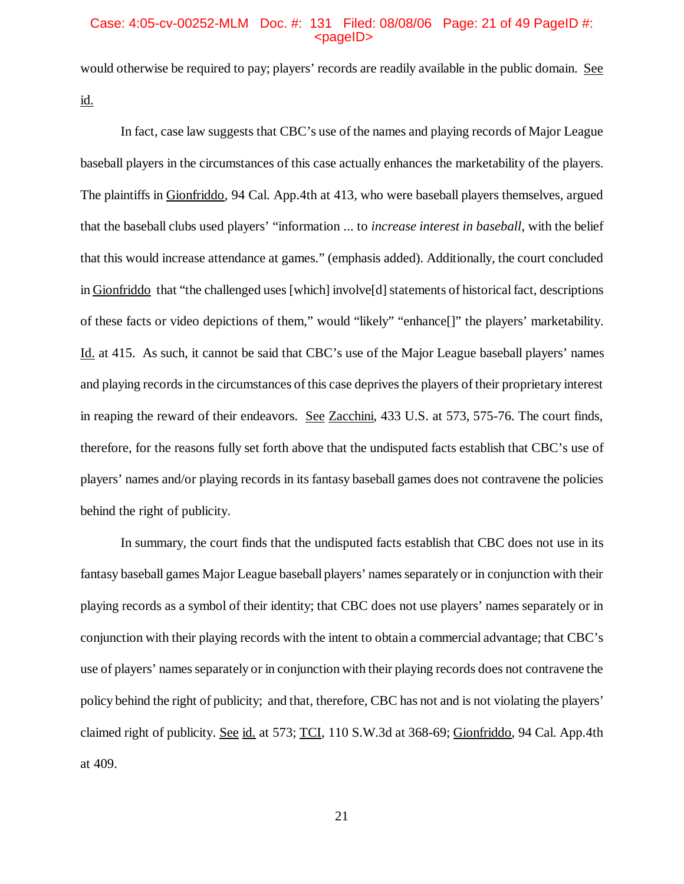#### Case: 4:05-cv-00252-MLM Doc. #: 131 Filed: 08/08/06 Page: 21 of 49 PageID #: <pageID>

would otherwise be required to pay; players' records are readily available in the public domain. See id.

In fact, case law suggests that CBC's use of the names and playing records of Major League baseball players in the circumstances of this case actually enhances the marketability of the players. The plaintiffs in Gionfriddo, 94 Cal. App.4th at 413, who were baseball players themselves, argued that the baseball clubs used players' "information ... to *increase interest in baseball*, with the belief that this would increase attendance at games." (emphasis added). Additionally, the court concluded in Gionfriddo that "the challenged uses [which] involve[d] statements of historical fact, descriptions of these facts or video depictions of them," would "likely" "enhance[]" the players' marketability. Id. at 415. As such, it cannot be said that CBC's use of the Major League baseball players' names and playing records in the circumstances of this case deprives the players of their proprietary interest in reaping the reward of their endeavors. See Zacchini, 433 U.S. at 573, 575-76. The court finds, therefore, for the reasons fully set forth above that the undisputed facts establish that CBC's use of players' names and/or playing records in its fantasy baseball games does not contravene the policies behind the right of publicity.

 In summary, the court finds that the undisputed facts establish that CBC does not use in its fantasy baseball games Major League baseball players' namesseparately or in conjunction with their playing records as a symbol of their identity; that CBC does not use players' names separately or in conjunction with their playing records with the intent to obtain a commercial advantage; that CBC's use of players' names separately or in conjunction with their playing records does not contravene the policy behind the right of publicity; and that, therefore, CBC has not and is not violating the players' claimed right of publicity. See id. at 573; TCI, 110 S.W.3d at 368-69; Gionfriddo, 94 Cal. App.4th at 409.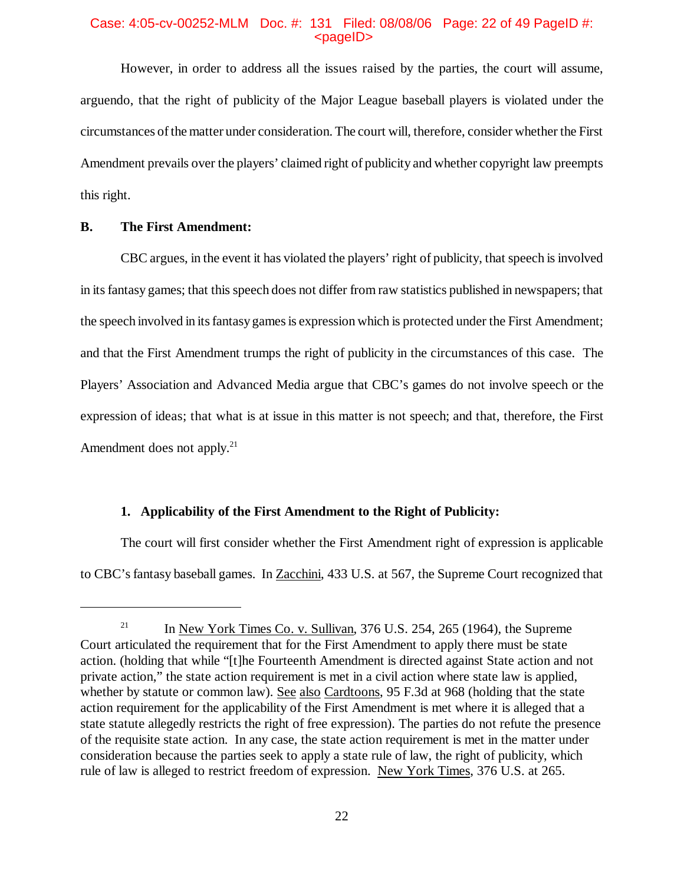#### Case: 4:05-cv-00252-MLM Doc. #: 131 Filed: 08/08/06 Page: 22 of 49 PageID #:  $<$ pageID $>$

However, in order to address all the issues raised by the parties, the court will assume, arguendo, that the right of publicity of the Major League baseball players is violated under the circumstances ofthe matter under consideration. The court will, therefore, consider whether the First Amendment prevails over the players' claimed right of publicity and whether copyright law preempts this right.

#### **B. The First Amendment:**

CBC argues, in the event it has violated the players' right of publicity, that speech is involved in itsfantasy games; that this speech does not differ from raw statistics published in newspapers; that the speech involved in its fantasy games is expression which is protected under the First Amendment; and that the First Amendment trumps the right of publicity in the circumstances of this case. The Players' Association and Advanced Media argue that CBC's games do not involve speech or the expression of ideas; that what is at issue in this matter is not speech; and that, therefore, the First Amendment does not apply.<sup>21</sup>

### **1. Applicability of the First Amendment to the Right of Publicity:**

The court will first consider whether the First Amendment right of expression is applicable to CBC'sfantasy baseball games. In Zacchini, 433 U.S. at 567, the Supreme Court recognized that

<sup>&</sup>lt;sup>21</sup> In New York Times Co. v. Sullivan,  $376$  U.S.  $254$ ,  $265$  (1964), the Supreme Court articulated the requirement that for the First Amendment to apply there must be state action. (holding that while "[t]he Fourteenth Amendment is directed against State action and not private action," the state action requirement is met in a civil action where state law is applied, whether by statute or common law). See also Cardtoons, 95 F.3d at 968 (holding that the state action requirement for the applicability of the First Amendment is met where it is alleged that a state statute allegedly restricts the right of free expression). The parties do not refute the presence of the requisite state action. In any case, the state action requirement is met in the matter under consideration because the parties seek to apply a state rule of law, the right of publicity, which rule of law is alleged to restrict freedom of expression. New York Times, 376 U.S. at 265.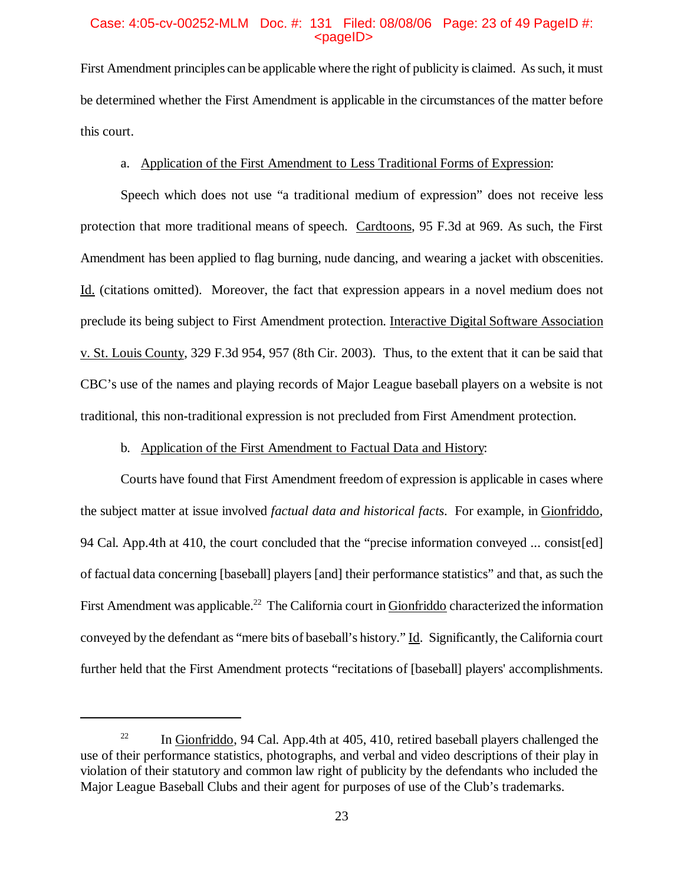## Case: 4:05-cv-00252-MLM Doc. #: 131 Filed: 08/08/06 Page: 23 of 49 PageID #:  $<$ pageID $>$

First Amendment principles can be applicable where the right of publicity is claimed. As such, it must be determined whether the First Amendment is applicable in the circumstances of the matter before this court.

## a. Application of the First Amendment to Less Traditional Forms of Expression:

Speech which does not use "a traditional medium of expression" does not receive less protection that more traditional means of speech. Cardtoons, 95 F.3d at 969. As such, the First Amendment has been applied to flag burning, nude dancing, and wearing a jacket with obscenities. Id. (citations omitted). Moreover, the fact that expression appears in a novel medium does not preclude its being subject to First Amendment protection. Interactive Digital Software Association v. St. Louis County, 329 F.3d 954, 957 (8th Cir. 2003). Thus, to the extent that it can be said that CBC's use of the names and playing records of Major League baseball players on a website is not traditional, this non-traditional expression is not precluded from First Amendment protection.

## b. Application of the First Amendment to Factual Data and History:

Courts have found that First Amendment freedom of expression is applicable in cases where the subject matter at issue involved *factual data and historical facts*. For example, in Gionfriddo, 94 Cal. App.4th at 410, the court concluded that the "precise information conveyed ... consist[ed] of factual data concerning [baseball] players [and] their performance statistics" and that, as such the First Amendment was applicable.<sup>22</sup> The California court in **Gionfriddo** characterized the information conveyed by the defendant as "mere bits of baseball's history." Id. Significantly, the California court further held that the First Amendment protects "recitations of [baseball] players' accomplishments.

<sup>&</sup>lt;sup>22</sup> In Gionfriddo, 94 Cal. App.4th at 405, 410, retired baseball players challenged the use of their performance statistics, photographs, and verbal and video descriptions of their play in violation of their statutory and common law right of publicity by the defendants who included the Major League Baseball Clubs and their agent for purposes of use of the Club's trademarks.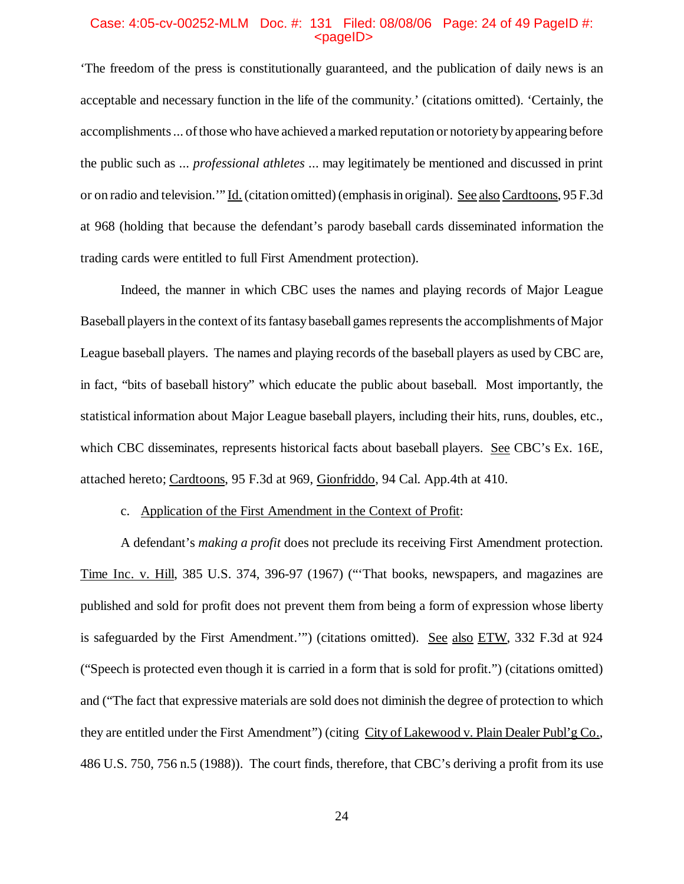#### Case: 4:05-cv-00252-MLM Doc. #: 131 Filed: 08/08/06 Page: 24 of 49 PageID #:  $<$ pageID $>$

'The freedom of the press is constitutionally guaranteed, and the publication of daily news is an acceptable and necessary function in the life of the community.' (citations omitted). 'Certainly, the accomplishments... ofthose who have achieved a marked reputation or notoriety byappearing before the public such as ... *professional athletes* ... may legitimately be mentioned and discussed in print or on radio and television.'" Id. (citation omitted) (emphasis in original). See also Cardtoons, 95 F.3d at 968 (holding that because the defendant's parody baseball cards disseminated information the trading cards were entitled to full First Amendment protection).

Indeed, the manner in which CBC uses the names and playing records of Major League Baseball players in the context of its fantasy baseball games represents the accomplishments of Major League baseball players. The names and playing records of the baseball players as used by CBC are, in fact, "bits of baseball history" which educate the public about baseball. Most importantly, the statistical information about Major League baseball players, including their hits, runs, doubles, etc., which CBC disseminates, represents historical facts about baseball players. See CBC's Ex. 16E, attached hereto; Cardtoons, 95 F.3d at 969, Gionfriddo, 94 Cal. App.4th at 410.

### c. Application of the First Amendment in the Context of Profit:

A defendant's *making a profit* does not preclude its receiving First Amendment protection. Time Inc. v. Hill, 385 U.S. 374, 396-97 (1967) ("'That books, newspapers, and magazines are published and sold for profit does not prevent them from being a form of expression whose liberty is safeguarded by the First Amendment."") (citations omitted). See also ETW, 332 F.3d at 924 ("Speech is protected even though it is carried in a form that is sold for profit.") (citations omitted) and ("The fact that expressive materials are sold does not diminish the degree of protection to which they are entitled under the First Amendment") (citing City of Lakewood v. Plain Dealer Publ'g Co., 486 U.S. 750, 756 n.5 (1988)). The court finds, therefore, that CBC's deriving a profit from its use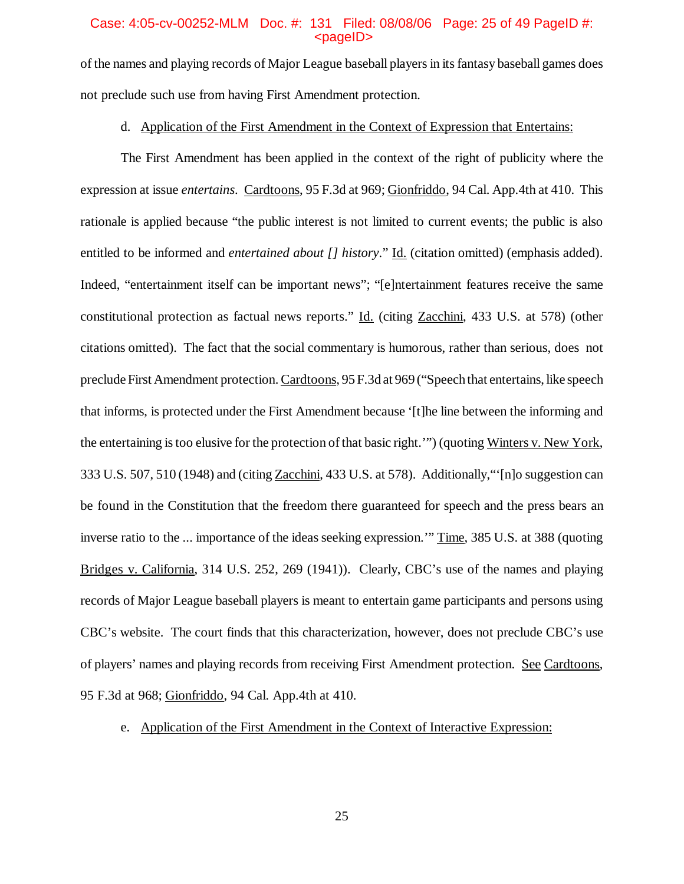## Case: 4:05-cv-00252-MLM Doc. #: 131 Filed: 08/08/06 Page: 25 of 49 PageID #: <pageID>

of the names and playing records of Major League baseball playersin itsfantasy baseball games does not preclude such use from having First Amendment protection.

## d. Application of the First Amendment in the Context of Expression that Entertains:

The First Amendment has been applied in the context of the right of publicity where the expression at issue *entertains*. Cardtoons, 95 F.3d at 969; Gionfriddo, 94 Cal. App.4th at 410. This rationale is applied because "the public interest is not limited to current events; the public is also entitled to be informed and *entertained about [] history*." Id. (citation omitted) (emphasis added). Indeed, "entertainment itself can be important news"; "[e]ntertainment features receive the same constitutional protection as factual news reports." Id. (citing Zacchini, 433 U.S. at 578) (other citations omitted). The fact that the social commentary is humorous, rather than serious, does not precludeFirst Amendment protection. Cardtoons, 95 F.3d at 969 ("Speechthat entertains, like speech that informs, is protected under the First Amendment because '[t]he line between the informing and the entertaining is too elusive for the protection of that basic right."") (quoting Winters v. New York, 333 U.S. 507, 510 (1948) and (citing Zacchini, 433 U.S. at 578). Additionally,"'[n]o suggestion can be found in the Constitution that the freedom there guaranteed for speech and the press bears an inverse ratio to the ... importance of the ideas seeking expression.'" Time, 385 U.S. at 388 (quoting Bridges v. California, 314 U.S. 252, 269 (1941)). Clearly, CBC's use of the names and playing records of Major League baseball players is meant to entertain game participants and persons using CBC's website. The court finds that this characterization, however, does not preclude CBC's use of players' names and playing records from receiving First Amendment protection. See Cardtoons, 95 F.3d at 968; Gionfriddo, 94 Cal. App.4th at 410.

e. Application of the First Amendment in the Context of Interactive Expression: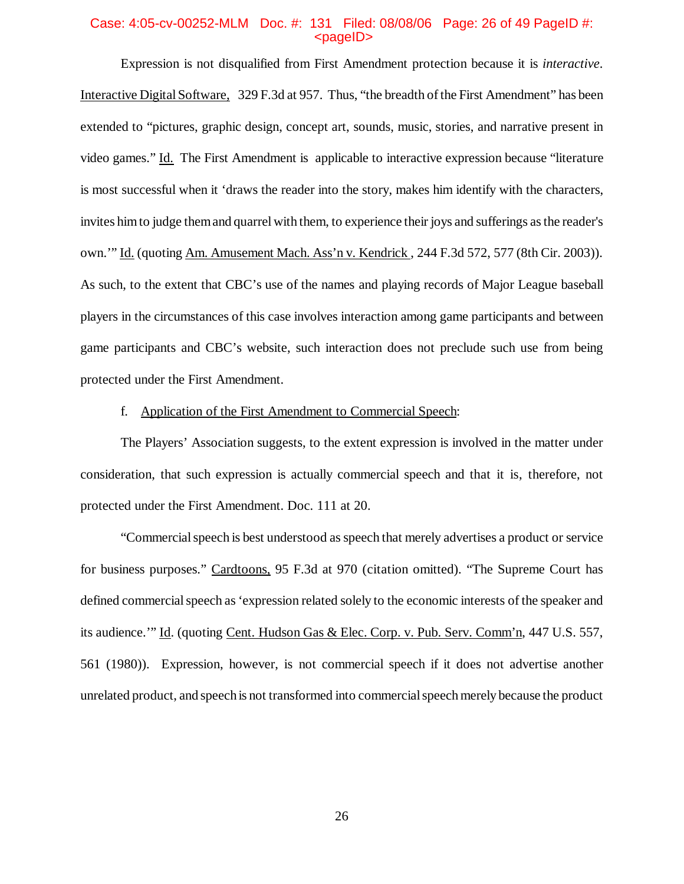#### Case: 4:05-cv-00252-MLM Doc. #: 131 Filed: 08/08/06 Page: 26 of 49 PageID #: <pageID>

Expression is not disqualified from First Amendment protection because it is *interactive*. Interactive Digital Software, 329 F.3d at 957. Thus, "the breadth of the First Amendment" has been extended to "pictures, graphic design, concept art, sounds, music, stories, and narrative present in video games." Id. The First Amendment is applicable to interactive expression because "literature is most successful when it 'draws the reader into the story, makes him identify with the characters, invites himto judge themand quarrel with them, to experience their joys and sufferings asthe reader's own.'" Id. (quoting Am. Amusement Mach. Ass'n v. Kendrick , 244 F.3d 572, 577 (8th Cir. 2003)). As such, to the extent that CBC's use of the names and playing records of Major League baseball players in the circumstances of this case involves interaction among game participants and between game participants and CBC's website, such interaction does not preclude such use from being protected under the First Amendment.

#### f. Application of the First Amendment to Commercial Speech:

The Players' Association suggests, to the extent expression is involved in the matter under consideration, that such expression is actually commercial speech and that it is, therefore, not protected under the First Amendment. Doc. 111 at 20.

"Commercialspeech is best understood asspeech that merely advertises a product or service for business purposes." Cardtoons, 95 F.3d at 970 (citation omitted). "The Supreme Court has defined commercial speech as 'expression related solely to the economic interests of the speaker and its audience.'" Id. (quoting Cent. Hudson Gas & Elec. Corp. v. Pub. Serv. Comm'n, 447 U.S. 557, 561 (1980)). Expression, however, is not commercial speech if it does not advertise another unrelated product, and speech is not transformed into commercialspeechmerely because the product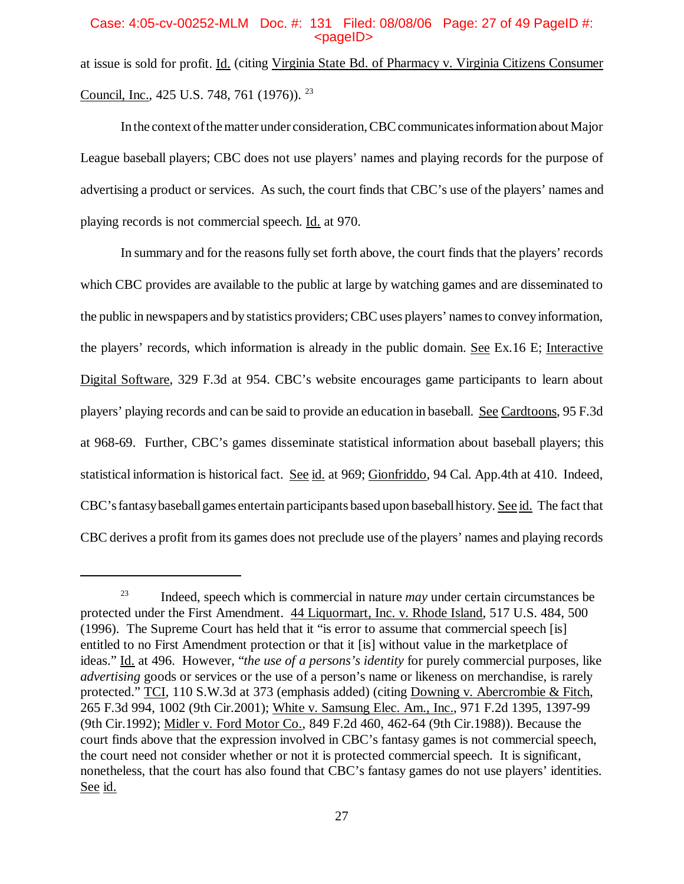## Case: 4:05-cv-00252-MLM Doc. #: 131 Filed: 08/08/06 Page: 27 of 49 PageID #:  $<$ pageID $>$

at issue is sold for profit. Id. (citing Virginia State Bd. of Pharmacy v. Virginia Citizens Consumer Council, Inc., 425 U.S. 748, 761 (1976)). <sup>23</sup>

In the context of the matter under consideration, CBC communicates information about Major League baseball players; CBC does not use players' names and playing records for the purpose of advertising a product or services. As such, the court finds that CBC's use of the players' names and playing records is not commercial speech. Id. at 970.

In summary and for the reasons fully set forth above, the court finds that the players' records which CBC provides are available to the public at large by watching games and are disseminated to the public in newspapers and by statistics providers; CBC uses players' names to convey information, the players' records, which information is already in the public domain. See Ex.16 E; Interactive Digital Software, 329 F.3d at 954. CBC's website encourages game participants to learn about players' playing records and can be said to provide an education in baseball. See Cardtoons, 95 F.3d at 968-69. Further, CBC's games disseminate statistical information about baseball players; this statistical information is historical fact. See id. at 969; Gionfriddo, 94 Cal. App.4th at 410. Indeed, CBC's fantasy baseball games entertain participants based upon baseball history. See id. The fact that CBC derives a profit from its games does not preclude use of the players' names and playing records

<sup>23</sup> Indeed, speech which is commercial in nature *may* under certain circumstances be protected under the First Amendment. 44 Liquormart, Inc. v. Rhode Island, 517 U.S. 484, 500 (1996). The Supreme Court has held that it "is error to assume that commercial speech [is] entitled to no First Amendment protection or that it [is] without value in the marketplace of ideas." Id. at 496. However, "*the use of a persons's identity* for purely commercial purposes, like *advertising* goods or services or the use of a person's name or likeness on merchandise, is rarely protected." TCI, 110 S.W.3d at 373 (emphasis added) (citing Downing v. Abercrombie & Fitch, 265 F.3d 994, 1002 (9th Cir.2001); White v. Samsung Elec. Am., Inc., 971 F.2d 1395, 1397-99 (9th Cir.1992); Midler v. Ford Motor Co., 849 F.2d 460, 462-64 (9th Cir.1988)). Because the court finds above that the expression involved in CBC's fantasy games is not commercial speech, the court need not consider whether or not it is protected commercial speech. It is significant, nonetheless, that the court has also found that CBC's fantasy games do not use players' identities. See id.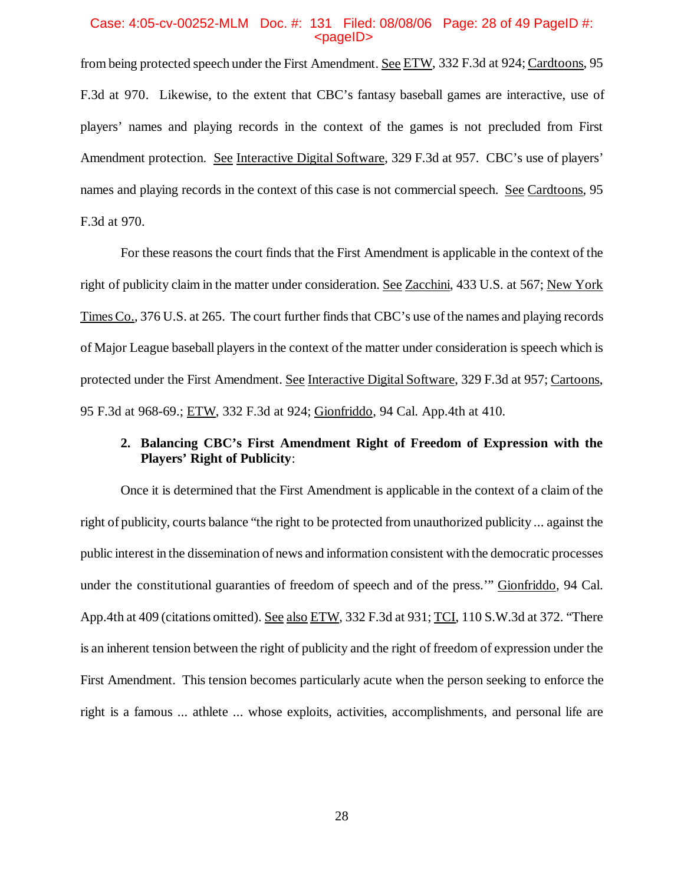#### Case: 4:05-cv-00252-MLM Doc. #: 131 Filed: 08/08/06 Page: 28 of 49 PageID #:  $<sub>0</sub>$ ageID $>$ </sub>

from being protected speech under the First Amendment. See ETW, 332 F.3d at 924; Cardtoons, 95 F.3d at 970. Likewise, to the extent that CBC's fantasy baseball games are interactive, use of players' names and playing records in the context of the games is not precluded from First Amendment protection. See Interactive Digital Software, 329 F.3d at 957. CBC's use of players' names and playing records in the context of this case is not commercial speech. See Cardtoons, 95 F.3d at 970.

For these reasons the court finds that the First Amendment is applicable in the context of the right of publicity claim in the matter under consideration. See Zacchini, 433 U.S. at 567; New York Times Co., 376 U.S. at 265. The court further finds that CBC's use of the names and playing records of Major League baseball players in the context of the matter under consideration is speech which is protected under the First Amendment. See Interactive Digital Software, 329 F.3d at 957; Cartoons, 95 F.3d at 968-69.; ETW, 332 F.3d at 924; Gionfriddo, 94 Cal. App.4th at 410.

## **2. Balancing CBC's First Amendment Right of Freedom of Expression with the Players' Right of Publicity**:

Once it is determined that the First Amendment is applicable in the context of a claim of the right of publicity, courts balance "the right to be protected from unauthorized publicity ... against the public interest in the dissemination of news and information consistent with the democratic processes under the constitutional guaranties of freedom of speech and of the press.'" Gionfriddo, 94 Cal. App.4th at 409 (citations omitted). See also ETW, 332 F.3d at 931; TCI, 110 S.W.3d at 372. "There is an inherent tension between the right of publicity and the right of freedom of expression under the First Amendment. This tension becomes particularly acute when the person seeking to enforce the right is a famous ... athlete ... whose exploits, activities, accomplishments, and personal life are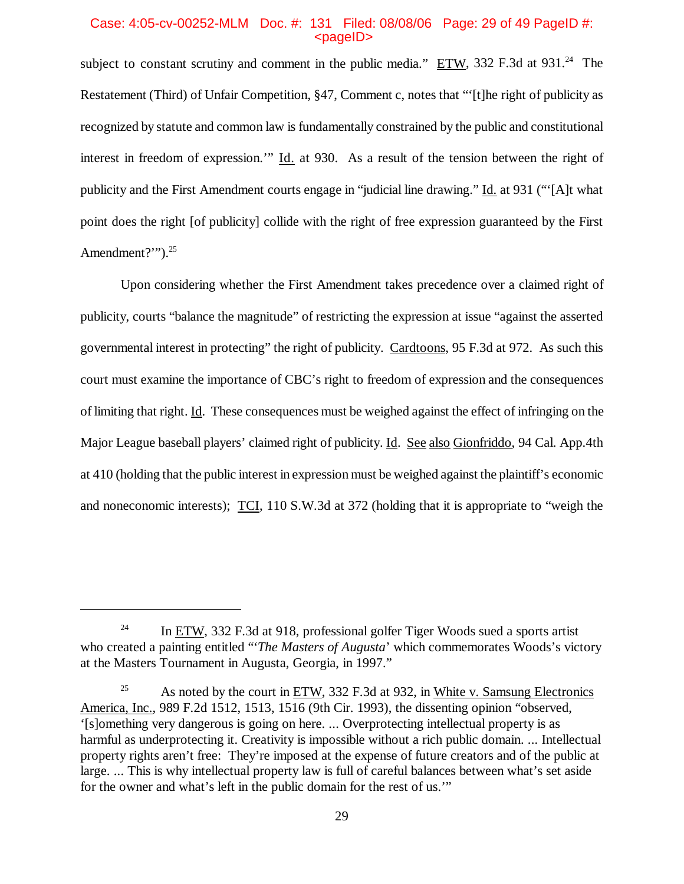#### Case: 4:05-cv-00252-MLM Doc. #: 131 Filed: 08/08/06 Page: 29 of 49 PageID #:  $<$ pageID $>$

subject to constant scrutiny and comment in the public media."  $ETW$ , 332 F.3d at 931.<sup>24</sup> The Restatement (Third) of Unfair Competition, §47, Comment c, notes that "'[t]he right of publicity as recognized by statute and common law is fundamentally constrained by the public and constitutional interest in freedom of expression.'" Id. at 930. As a result of the tension between the right of publicity and the First Amendment courts engage in "judicial line drawing." Id. at 931 ("'[A]t what point does the right [of publicity] collide with the right of free expression guaranteed by the First Amendment?"" $)^{25}$ 

Upon considering whether the First Amendment takes precedence over a claimed right of publicity, courts "balance the magnitude" of restricting the expression at issue "against the asserted governmental interest in protecting" the right of publicity. Cardtoons, 95 F.3d at 972. As such this court must examine the importance of CBC's right to freedom of expression and the consequences of limiting that right. Id. These consequences must be weighed against the effect of infringing on the Major League baseball players' claimed right of publicity. Id. See also Gionfriddo, 94 Cal. App.4th at 410 (holding that the public interest in expression must be weighed against the plaintiff's economic and noneconomic interests); TCI, 110 S.W.3d at 372 (holding that it is appropriate to "weigh the

<sup>&</sup>lt;sup>24</sup> In ETW, 332 F.3d at 918, professional golfer Tiger Woods sued a sports artist who created a painting entitled "'*The Masters of Augusta*' which commemorates Woods's victory at the Masters Tournament in Augusta, Georgia, in 1997."

<sup>&</sup>lt;sup>25</sup> As noted by the court in ETW, 332 F.3d at 932, in White v. Samsung Electronics America, Inc., 989 F.2d 1512, 1513, 1516 (9th Cir. 1993), the dissenting opinion "observed, '[s]omething very dangerous is going on here. ... Overprotecting intellectual property is as harmful as underprotecting it. Creativity is impossible without a rich public domain. ... Intellectual property rights aren't free: They're imposed at the expense of future creators and of the public at large. ... This is why intellectual property law is full of careful balances between what's set aside for the owner and what's left in the public domain for the rest of us.'"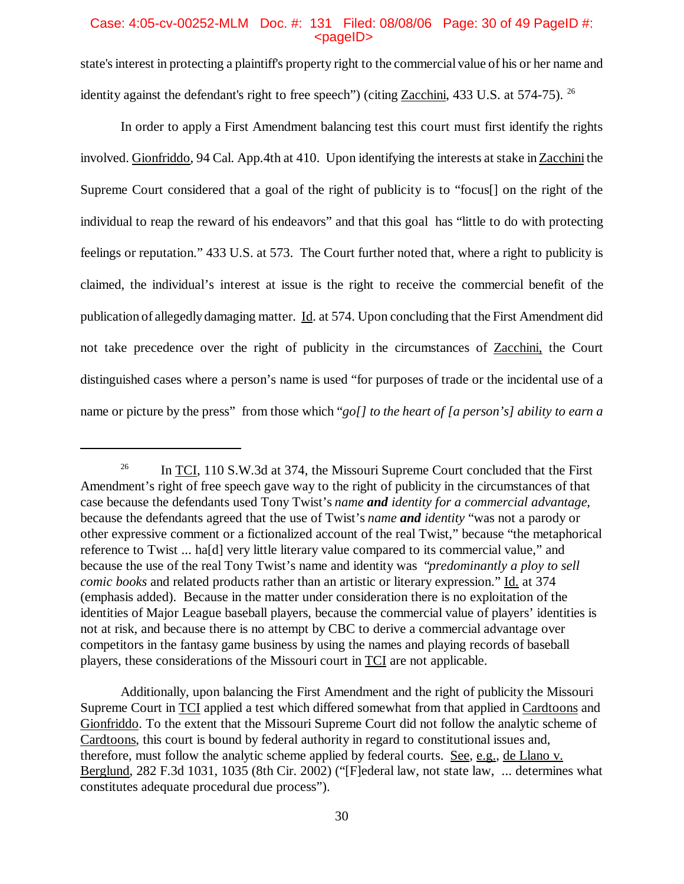#### Case: 4:05-cv-00252-MLM Doc. #: 131 Filed: 08/08/06 Page: 30 of 49 PageID #:  $<$ pageID $>$

state's interest in protecting a plaintiff's property right to the commercial value of his or her name and identity against the defendant's right to free speech") (citing Zacchini, 433 U.S. at 574-75). <sup>26</sup>

In order to apply a First Amendment balancing test this court must first identify the rights involved. Gionfriddo, 94 Cal. App.4th at 410. Upon identifying the interests at stake in Zacchini the Supreme Court considered that a goal of the right of publicity is to "focus[] on the right of the individual to reap the reward of his endeavors" and that this goal has "little to do with protecting feelings or reputation." 433 U.S. at 573. The Court further noted that, where a right to publicity is claimed, the individual's interest at issue is the right to receive the commercial benefit of the publication of allegedly damaging matter. Id. at 574. Upon concluding that the First Amendment did not take precedence over the right of publicity in the circumstances of Zacchini, the Court distinguished cases where a person's name is used "for purposes of trade or the incidental use of a name or picture by the press" from those which "*go[] to the heart of [a person's] ability to earn a*

Additionally, upon balancing the First Amendment and the right of publicity the Missouri Supreme Court in TCI applied a test which differed somewhat from that applied in Cardtoons and Gionfriddo. To the extent that the Missouri Supreme Court did not follow the analytic scheme of Cardtoons, this court is bound by federal authority in regard to constitutional issues and, therefore, must follow the analytic scheme applied by federal courts. See, e.g., de Llano v. Berglund, 282 F.3d 1031, 1035 (8th Cir. 2002) ("[F]ederal law, not state law, ... determines what constitutes adequate procedural due process").

<sup>&</sup>lt;sup>26</sup> In TCI, 110 S.W.3d at 374, the Missouri Supreme Court concluded that the First Amendment's right of free speech gave way to the right of publicity in the circumstances of that case because the defendants used Tony Twist's *name and identity for a commercial advantage*, because the defendants agreed that the use of Twist's *name and identity* "was not a parody or other expressive comment or a fictionalized account of the real Twist," because "the metaphorical reference to Twist ... ha[d] very little literary value compared to its commercial value," and because the use of the real Tony Twist's name and identity was "*predominantly a ploy to sell comic books* and related products rather than an artistic or literary expression." Id. at 374 (emphasis added). Because in the matter under consideration there is no exploitation of the identities of Major League baseball players, because the commercial value of players' identities is not at risk, and because there is no attempt by CBC to derive a commercial advantage over competitors in the fantasy game business by using the names and playing records of baseball players, these considerations of the Missouri court in TCI are not applicable.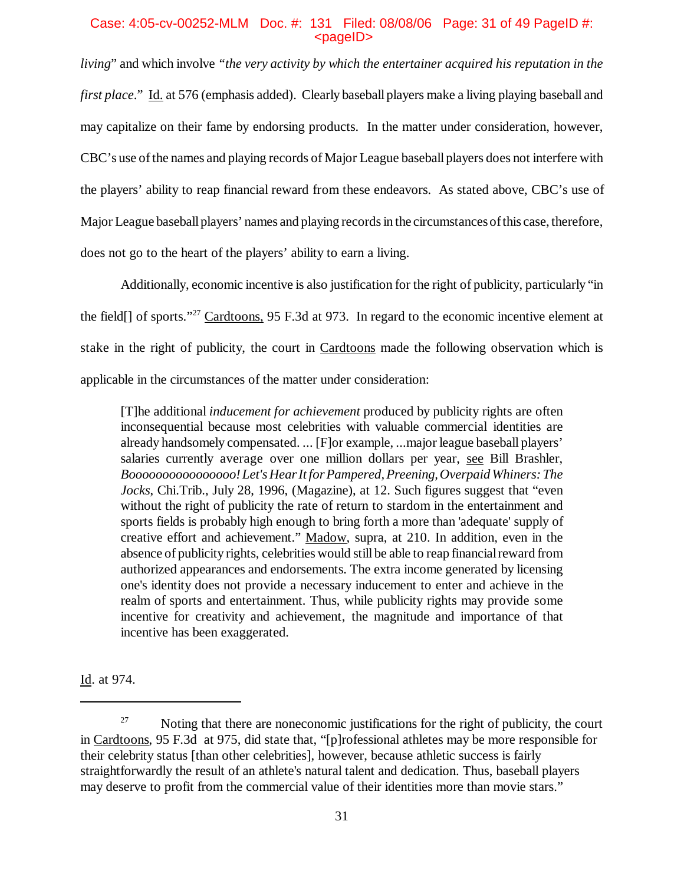#### Case: 4:05-cv-00252-MLM Doc. #: 131 Filed: 08/08/06 Page: 31 of 49 PageID #:  $<$ pageID $>$

*living*" and which involve *"the very activity by which the entertainer acquired his reputation in the first place.*" Id. at 576 (emphasis added). Clearly baseball players make a living playing baseball and may capitalize on their fame by endorsing products. In the matter under consideration, however, CBC's use ofthe names and playing records of Major League baseball players does not interfere with the players' ability to reap financial reward from these endeavors. As stated above, CBC's use of Major League baseball players' names and playing records in the circumstances of this case, therefore, does not go to the heart of the players' ability to earn a living.

Additionally, economic incentive is also justification for the right of publicity, particularly "in the field[] of sports."<sup>27</sup> Cardtoons, 95 F.3d at 973. In regard to the economic incentive element at stake in the right of publicity, the court in Cardtoons made the following observation which is applicable in the circumstances of the matter under consideration:

[T]he additional *inducement for achievement* produced by publicity rights are often inconsequential because most celebrities with valuable commercial identities are already handsomely compensated. ... [F]or example, ...major league baseball players' salaries currently average over one million dollars per year, see Bill Brashler, *Boooooooooooooooo!Let'sHearIt forPampered,Preening,Overpaid Whiners: The Jocks*, Chi.Trib., July 28, 1996, (Magazine), at 12. Such figures suggest that "even without the right of publicity the rate of return to stardom in the entertainment and sports fields is probably high enough to bring forth a more than 'adequate' supply of creative effort and achievement." Madow, supra, at 210. In addition, even in the absence of publicity rights, celebrities would still be able to reap financialreward from authorized appearances and endorsements. The extra income generated by licensing one's identity does not provide a necessary inducement to enter and achieve in the realm of sports and entertainment. Thus, while publicity rights may provide some incentive for creativity and achievement, the magnitude and importance of that incentive has been exaggerated.

Id. at 974.

 $27$  Noting that there are noneconomic justifications for the right of publicity, the court in Cardtoons, 95 F.3d at 975, did state that, "[p]rofessional athletes may be more responsible for their celebrity status [than other celebrities], however, because athletic success is fairly straightforwardly the result of an athlete's natural talent and dedication. Thus, baseball players may deserve to profit from the commercial value of their identities more than movie stars."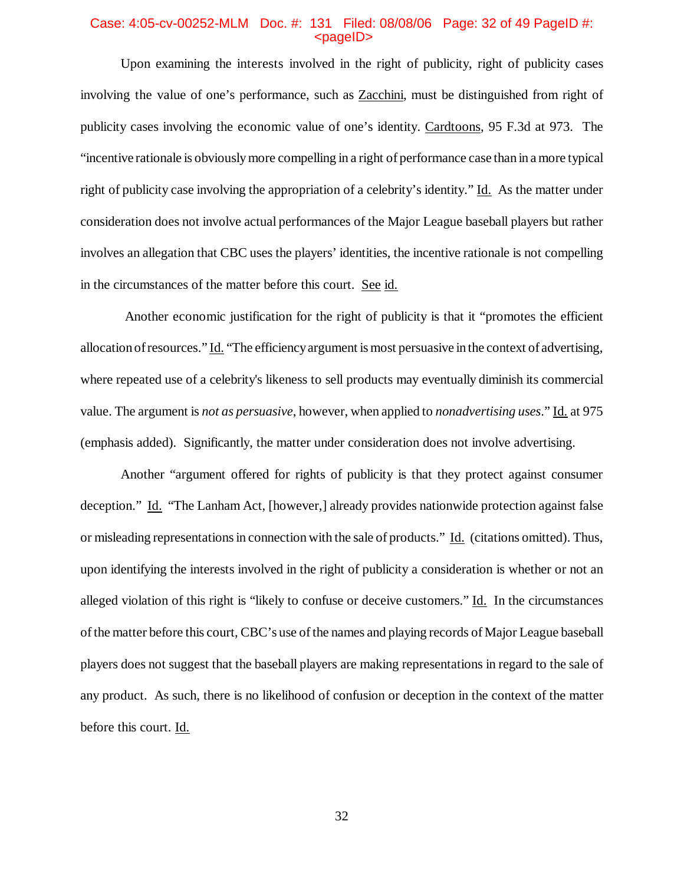## Case: 4:05-cv-00252-MLM Doc. #: 131 Filed: 08/08/06 Page: 32 of 49 PageID #: <pageID>

Upon examining the interests involved in the right of publicity, right of publicity cases involving the value of one's performance, such as Zacchini, must be distinguished from right of publicity cases involving the economic value of one's identity. Cardtoons, 95 F.3d at 973. The "incentive rationale is obviouslymore compelling in a right of performance case than in a more typical right of publicity case involving the appropriation of a celebrity's identity." Id. As the matter under consideration does not involve actual performances of the Major League baseball players but rather involves an allegation that CBC uses the players' identities, the incentive rationale is not compelling in the circumstances of the matter before this court. See id.

Another economic justification for the right of publicity is that it "promotes the efficient allocation ofresources." Id. "The efficiencyargument ismost persuasive in the context of advertising, where repeated use of a celebrity's likeness to sell products may eventually diminish its commercial value. The argument is *not as persuasive*, however, when applied to *nonadvertising uses*." Id. at 975 (emphasis added). Significantly, the matter under consideration does not involve advertising.

Another "argument offered for rights of publicity is that they protect against consumer deception." Id. "The Lanham Act, [however,] already provides nationwide protection against false or misleading representationsin connection with the sale of products." Id. (citations omitted). Thus, upon identifying the interests involved in the right of publicity a consideration is whether or not an alleged violation of this right is "likely to confuse or deceive customers." Id. In the circumstances of the matter before this court, CBC's use of the names and playing records of Major League baseball players does not suggest that the baseball players are making representations in regard to the sale of any product. As such, there is no likelihood of confusion or deception in the context of the matter before this court. Id.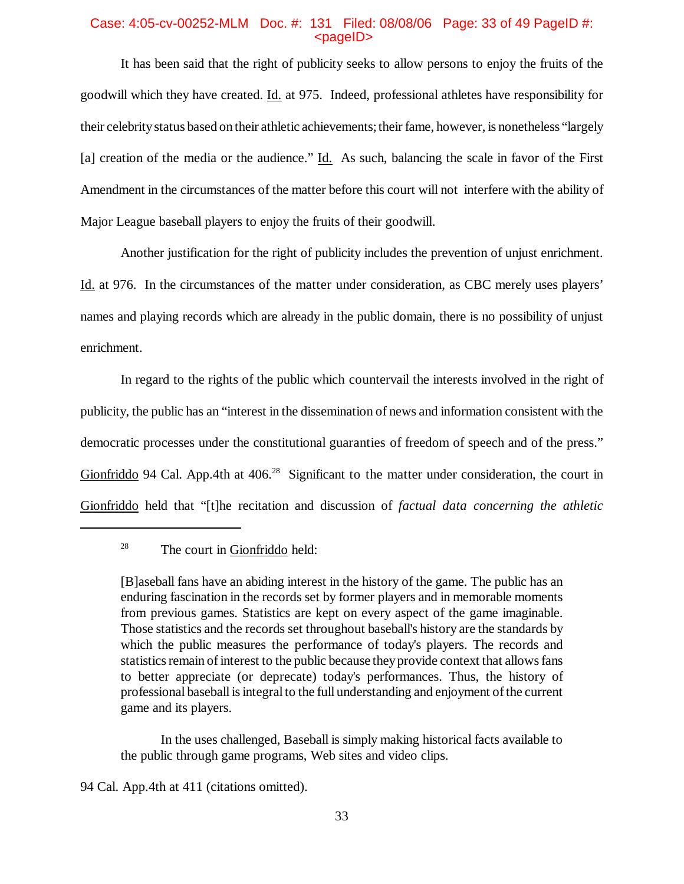#### Case: 4:05-cv-00252-MLM Doc. #: 131 Filed: 08/08/06 Page: 33 of 49 PageID #:  $<$ pageID $>$

It has been said that the right of publicity seeks to allow persons to enjoy the fruits of the goodwill which they have created. Id. at 975. Indeed, professional athletes have responsibility for their celebritystatus based on their athletic achievements;their fame, however, is nonetheless "largely [a] creation of the media or the audience." Id. As such, balancing the scale in favor of the First Amendment in the circumstances of the matter before this court will not interfere with the ability of Major League baseball players to enjoy the fruits of their goodwill.

Another justification for the right of publicity includes the prevention of unjust enrichment. Id. at 976. In the circumstances of the matter under consideration, as CBC merely uses players' names and playing records which are already in the public domain, there is no possibility of unjust enrichment.

In regard to the rights of the public which countervail the interests involved in the right of publicity, the public has an "interest in the dissemination of news and information consistent with the democratic processes under the constitutional guaranties of freedom of speech and of the press." Gionfriddo 94 Cal. App.4th at 406.<sup>28</sup> Significant to the matter under consideration, the court in Gionfriddo held that "[t]he recitation and discussion of *factual data concerning the athletic*

[B]aseball fans have an abiding interest in the history of the game. The public has an enduring fascination in the records set by former players and in memorable moments from previous games. Statistics are kept on every aspect of the game imaginable. Those statistics and the records set throughout baseball's history are the standards by which the public measures the performance of today's players. The records and statistics remain of interest to the public because they provide context that allows fans to better appreciate (or deprecate) today's performances. Thus, the history of professional baseball is integral to the full understanding and enjoyment of the current game and its players.

In the uses challenged, Baseball is simply making historical facts available to the public through game programs, Web sites and video clips.

94 Cal. App.4th at 411 (citations omitted).

<sup>28</sup> The court in Gionfriddo held: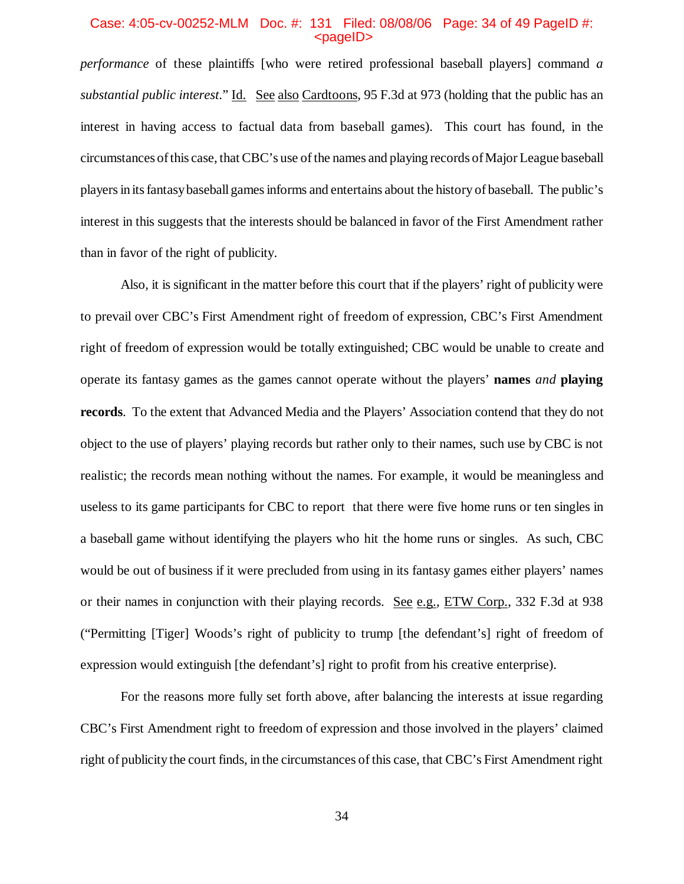## Case: 4:05-cv-00252-MLM Doc. #: 131 Filed: 08/08/06 Page: 34 of 49 PageID #: <pageID>

*performance* of these plaintiffs [who were retired professional baseball players] command *a substantial public interest*." Id. See also Cardtoons, 95 F.3d at 973 (holding that the public has an interest in having access to factual data from baseball games). This court has found, in the circumstances ofthis case, that CBC's use ofthe names and playing records ofMajor League baseball players in its fantasy baseball games informs and entertains about the history of baseball. The public's interest in this suggests that the interests should be balanced in favor of the First Amendment rather than in favor of the right of publicity.

Also, it is significant in the matter before this court that if the players' right of publicity were to prevail over CBC's First Amendment right of freedom of expression, CBC's First Amendment right of freedom of expression would be totally extinguished; CBC would be unable to create and operate its fantasy games as the games cannot operate without the players' **names** *and* **playing records**. To the extent that Advanced Media and the Players' Association contend that they do not object to the use of players' playing records but rather only to their names, such use by CBC is not realistic; the records mean nothing without the names. For example, it would be meaningless and useless to its game participants for CBC to report that there were five home runs or ten singles in a baseball game without identifying the players who hit the home runs or singles. As such, CBC would be out of business if it were precluded from using in its fantasy games either players' names or their names in conjunction with their playing records. See e.g., ETW Corp., 332 F.3d at 938 ("Permitting [Tiger] Woods's right of publicity to trump [the defendant's] right of freedom of expression would extinguish [the defendant's] right to profit from his creative enterprise).

For the reasons more fully set forth above, after balancing the interests at issue regarding CBC's First Amendment right to freedom of expression and those involved in the players' claimed right of publicity the court finds, in the circumstances of this case, that CBC's First Amendment right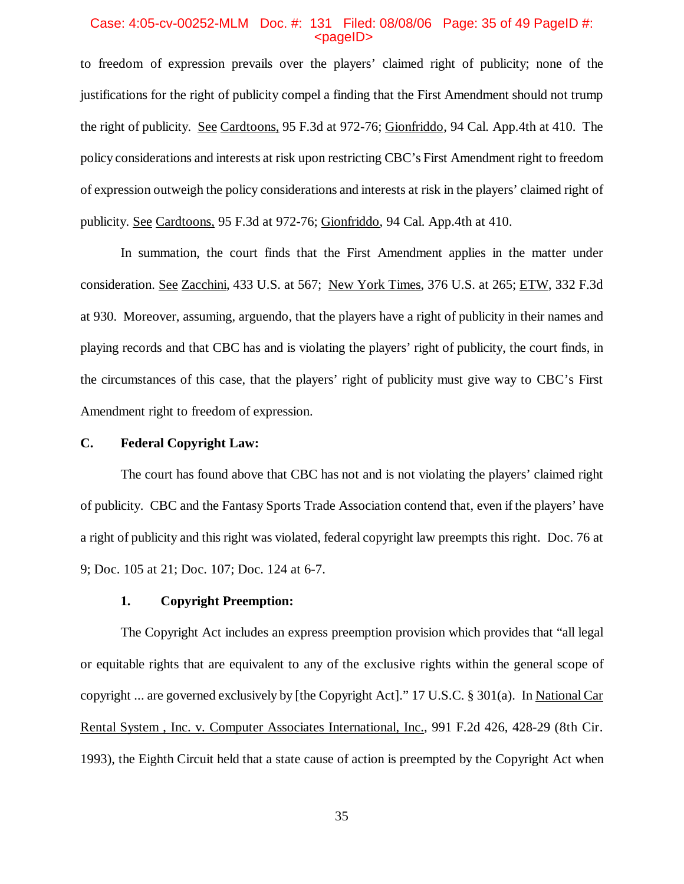## Case: 4:05-cv-00252-MLM Doc. #: 131 Filed: 08/08/06 Page: 35 of 49 PageID #: <pageID>

to freedom of expression prevails over the players' claimed right of publicity; none of the justifications for the right of publicity compel a finding that the First Amendment should not trump the right of publicity. See Cardtoons, 95 F.3d at 972-76; Gionfriddo, 94 Cal. App.4th at 410. The policy considerations and interests at risk upon restricting CBC's First Amendment right to freedom of expression outweigh the policy considerations and interests at risk in the players' claimed right of publicity. See Cardtoons, 95 F.3d at 972-76; Gionfriddo, 94 Cal. App.4th at 410.

In summation, the court finds that the First Amendment applies in the matter under consideration. See Zacchini, 433 U.S. at 567; New York Times, 376 U.S. at 265; ETW, 332 F.3d at 930. Moreover, assuming, arguendo, that the players have a right of publicity in their names and playing records and that CBC has and is violating the players' right of publicity, the court finds, in the circumstances of this case, that the players' right of publicity must give way to CBC's First Amendment right to freedom of expression.

### **C. Federal Copyright Law:**

The court has found above that CBC has not and is not violating the players' claimed right of publicity. CBC and the Fantasy Sports Trade Association contend that, even if the players' have a right of publicity and this right was violated, federal copyright law preempts this right. Doc. 76 at 9; Doc. 105 at 21; Doc. 107; Doc. 124 at 6-7.

#### **1. Copyright Preemption:**

The Copyright Act includes an express preemption provision which provides that "all legal or equitable rights that are equivalent to any of the exclusive rights within the general scope of copyright ... are governed exclusively by [the Copyright Act]." 17 U.S.C. § 301(a). In National Car Rental System , Inc. v. Computer Associates International, Inc., 991 F.2d 426, 428-29 (8th Cir. 1993), the Eighth Circuit held that a state cause of action is preempted by the Copyright Act when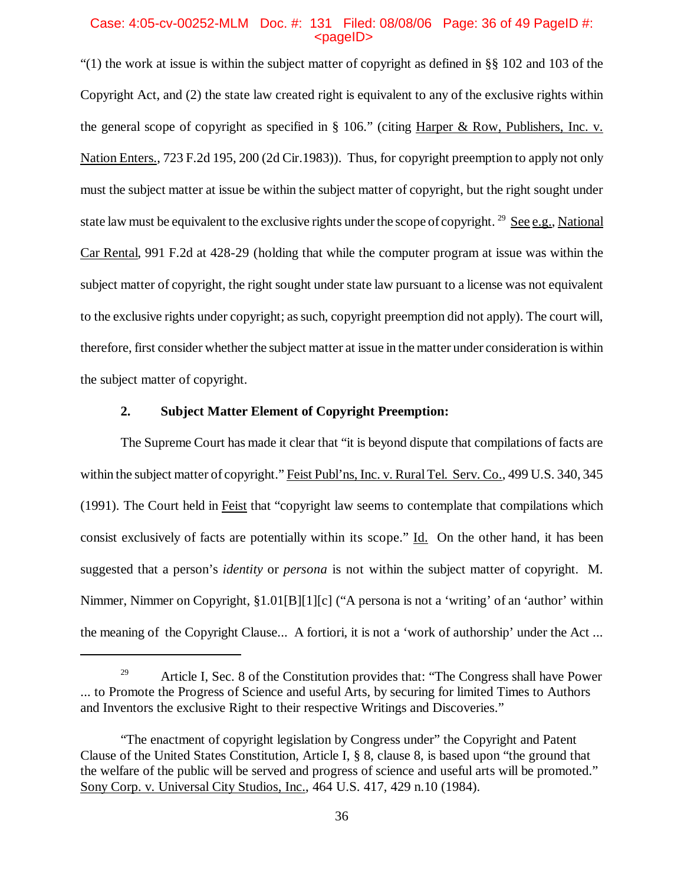#### Case: 4:05-cv-00252-MLM Doc. #: 131 Filed: 08/08/06 Page: 36 of 49 PageID #:  $<$ pageID $>$

"(1) the work at issue is within the subject matter of copyright as defined in §§ 102 and 103 of the Copyright Act, and (2) the state law created right is equivalent to any of the exclusive rights within the general scope of copyright as specified in § 106." (citing Harper & Row, Publishers, Inc. v. Nation Enters., 723 F.2d 195, 200 (2d Cir.1983)). Thus, for copyright preemption to apply not only must the subject matter at issue be within the subject matter of copyright, but the right sought under state law must be equivalent to the exclusive rights under the scope of copyright. <sup>29</sup> See e.g., National Car Rental, 991 F.2d at 428-29 (holding that while the computer program at issue was within the subject matter of copyright, the right sought under state law pursuant to a license was not equivalent to the exclusive rights under copyright; assuch, copyright preemption did not apply). The court will, therefore, first consider whether the subject matter at issue in the matter under consideration is within the subject matter of copyright.

## **2. Subject Matter Element of Copyright Preemption:**

The Supreme Court has made it clear that "it is beyond dispute that compilations of facts are within the subject matter of copyright." Feist Publ'ns, Inc. v. Rural Tel. Serv. Co., 499 U.S. 340, 345 (1991). The Court held in Feist that "copyright law seems to contemplate that compilations which consist exclusively of facts are potentially within its scope." Id. On the other hand, it has been suggested that a person's *identity* or *persona* is not within the subject matter of copyright. M. Nimmer, Nimmer on Copyright, §1.01[B][1][c] ("A persona is not a 'writing' of an 'author' within the meaning of the Copyright Clause... A fortiori, it is not a 'work of authorship' under the Act ...

<sup>&</sup>lt;sup>29</sup> Article I, Sec. 8 of the Constitution provides that: "The Congress shall have Power ... to Promote the Progress of Science and useful Arts, by securing for limited Times to Authors and Inventors the exclusive Right to their respective Writings and Discoveries."

<sup>&</sup>quot;The enactment of copyright legislation by Congress under" the Copyright and Patent Clause of the United States Constitution, Article I, § 8, clause 8, is based upon "the ground that the welfare of the public will be served and progress of science and useful arts will be promoted." Sony Corp. v. Universal City Studios, Inc., 464 U.S. 417, 429 n.10 (1984).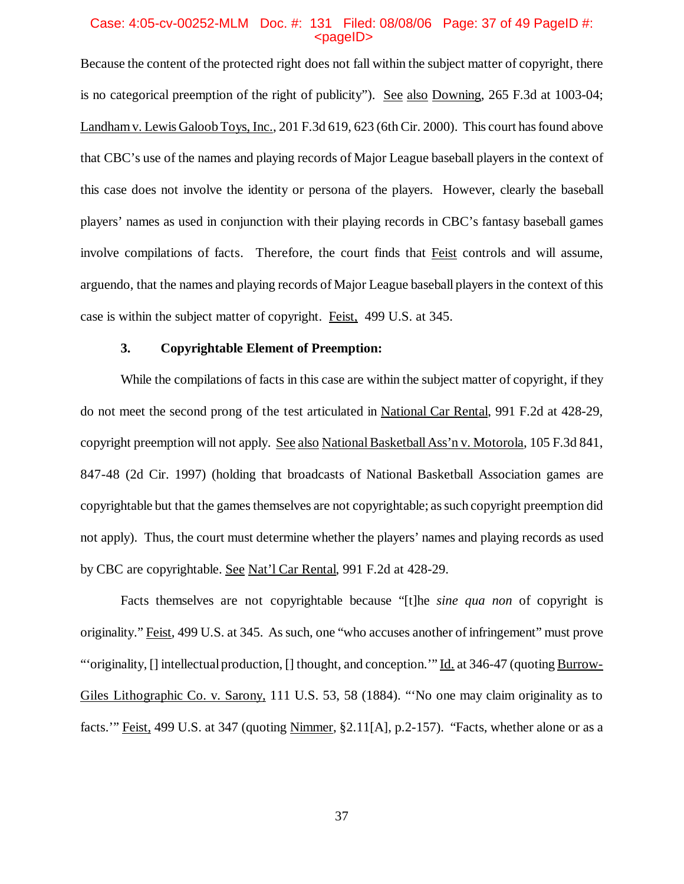## Case: 4:05-cv-00252-MLM Doc. #: 131 Filed: 08/08/06 Page: 37 of 49 PageID #: <pageID>

Because the content of the protected right does not fall within the subject matter of copyright, there is no categorical preemption of the right of publicity"). See also Downing, 265 F.3d at 1003-04; Landhamv. Lewis Galoob Toys, Inc., 201 F.3d 619, 623 (6th Cir. 2000). This court hasfound above that CBC's use of the names and playing records of Major League baseball players in the context of this case does not involve the identity or persona of the players. However, clearly the baseball players' names as used in conjunction with their playing records in CBC's fantasy baseball games involve compilations of facts. Therefore, the court finds that Feist controls and will assume, arguendo, that the names and playing records of Major League baseball players in the context of this case is within the subject matter of copyright. Feist, 499 U.S. at 345.

#### **3. Copyrightable Element of Preemption:**

While the compilations of facts in this case are within the subject matter of copyright, if they do not meet the second prong of the test articulated in National Car Rental, 991 F.2d at 428-29, copyright preemption will not apply. See also NationalBasketballAss'n v. Motorola, 105 F.3d 841, 847-48 (2d Cir. 1997) (holding that broadcasts of National Basketball Association games are copyrightable but that the games themselves are not copyrightable; as such copyright preemption did not apply). Thus, the court must determine whether the players' names and playing records as used by CBC are copyrightable. See Nat'l Car Rental, 991 F.2d at 428-29.

Facts themselves are not copyrightable because "[t]he *sine qua non* of copyright is originality." Feist, 499 U.S. at 345. Assuch, one "who accuses another of infringement" must prove "'originality, [] intellectual production, [] thought, and conception.'" Id. at 346-47 (quoting Burrow-Giles Lithographic Co. v. Sarony, 111 U.S. 53, 58 (1884). "'No one may claim originality as to facts.'" Feist, 499 U.S. at 347 (quoting Nimmer, §2.11[A], p.2-157). "Facts, whether alone or as a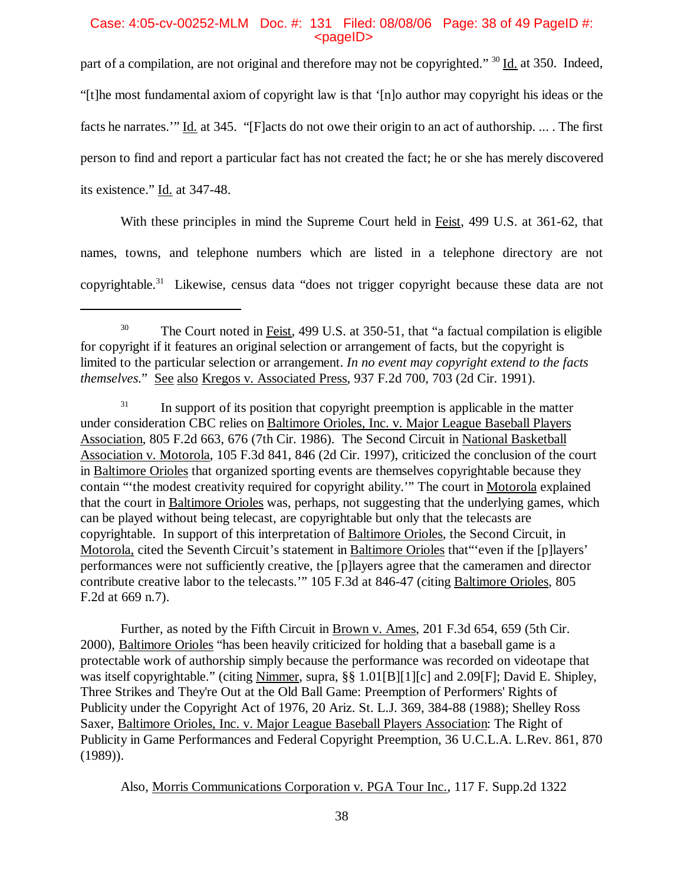### Case: 4:05-cv-00252-MLM Doc. #: 131 Filed: 08/08/06 Page: 38 of 49 PageID #:  $<$ pageID $>$

part of a compilation, are not original and therefore may not be copyrighted." <sup>30</sup> Id. at 350. Indeed, "[t]he most fundamental axiom of copyright law is that '[n]o author may copyright his ideas or the facts he narrates.'" Id. at 345. "[F]acts do not owe their origin to an act of authorship. ... . The first person to find and report a particular fact has not created the fact; he or she has merely discovered its existence." Id. at 347-48.

With these principles in mind the Supreme Court held in Feist, 499 U.S. at 361-62, that names, towns, and telephone numbers which are listed in a telephone directory are not copyrightable.<sup>31</sup> Likewise, census data "does not trigger copyright because these data are not

Further, as noted by the Fifth Circuit in Brown v. Ames, 201 F.3d 654, 659 (5th Cir. 2000), Baltimore Orioles "has been heavily criticized for holding that a baseball game is a protectable work of authorship simply because the performance was recorded on videotape that was itself copyrightable." (citing Nimmer, supra, §§ 1.01[B][1][c] and 2.09[F]; David E. Shipley, Three Strikes and They're Out at the Old Ball Game: Preemption of Performers' Rights of Publicity under the Copyright Act of 1976, 20 Ariz. St. L.J. 369, 384-88 (1988); Shelley Ross Saxer, Baltimore Orioles, Inc. v. Major League Baseball Players Association: The Right of Publicity in Game Performances and Federal Copyright Preemption, 36 U.C.L.A. L.Rev. 861, 870 (1989)).

Also, Morris Communications Corporation v. PGA Tour Inc., 117 F. Supp.2d 1322

<sup>&</sup>lt;sup>30</sup> The Court noted in <u>Feist</u>, 499 U.S. at 350-51, that "a factual compilation is eligible for copyright if it features an original selection or arrangement of facts, but the copyright is limited to the particular selection or arrangement. *In no event may copyright extend to the facts themselves*." See also Kregos v. Associated Press, 937 F.2d 700, 703 (2d Cir. 1991).

<sup>&</sup>lt;sup>31</sup> In support of its position that copyright preemption is applicable in the matter under consideration CBC relies on Baltimore Orioles, Inc. v. Major League Baseball Players Association, 805 F.2d 663, 676 (7th Cir. 1986). The Second Circuit in National Basketball Association v. Motorola, 105 F.3d 841, 846 (2d Cir. 1997), criticized the conclusion of the court in Baltimore Orioles that organized sporting events are themselves copyrightable because they contain "'the modest creativity required for copyright ability.'" The court in Motorola explained that the court in Baltimore Orioles was, perhaps, not suggesting that the underlying games, which can be played without being telecast, are copyrightable but only that the telecasts are copyrightable. In support of this interpretation of Baltimore Orioles, the Second Circuit, in Motorola, cited the Seventh Circuit's statement in Baltimore Orioles that"'even if the [p]layers' performances were not sufficiently creative, the [p]layers agree that the cameramen and director contribute creative labor to the telecasts.'" 105 F.3d at 846-47 (citing Baltimore Orioles, 805 F.2d at 669 n.7).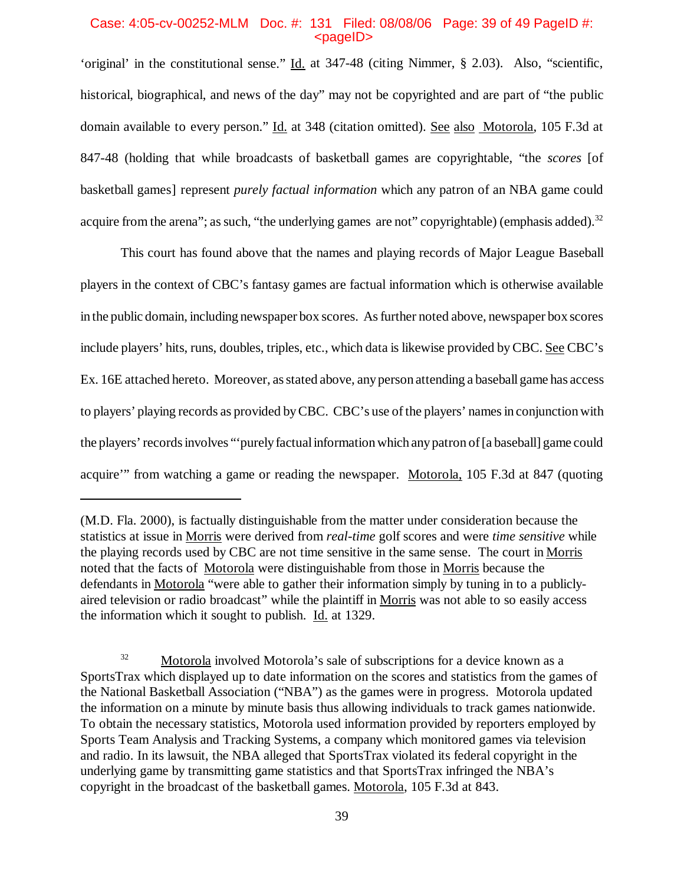### Case: 4:05-cv-00252-MLM Doc. #: 131 Filed: 08/08/06 Page: 39 of 49 PageID #:  $<$ pageID $>$

'original' in the constitutional sense." Id. at 347-48 (citing Nimmer, § 2.03). Also, "scientific, historical, biographical, and news of the day" may not be copyrighted and are part of "the public domain available to every person." Id. at 348 (citation omitted). See also Motorola, 105 F.3d at 847-48 (holding that while broadcasts of basketball games are copyrightable, "the *scores* [of basketball games] represent *purely factual information* which any patron of an NBA game could acquire from the arena"; as such, "the underlying games are not" copyrightable) (emphasis added). $32$ 

This court has found above that the names and playing records of Major League Baseball players in the context of CBC's fantasy games are factual information which is otherwise available in the public domain, including newspaper box scores. Asfurther noted above, newspaper box scores include players' hits, runs, doubles, triples, etc., which data is likewise provided byCBC. See CBC's Ex. 16E attached hereto. Moreover, asstated above, anyperson attending a baseballgame has access to players' playing records as provided byCBC. CBC's use ofthe players' namesin conjunctionwith the players' records involves ""purely factual information which any patron of [a baseball] game could acquire'" from watching a game or reading the newspaper. Motorola, 105 F.3d at 847 (quoting

<sup>(</sup>M.D. Fla. 2000), is factually distinguishable from the matter under consideration because the statistics at issue in Morris were derived from *real-time* golf scores and were *time sensitive* while the playing records used by CBC are not time sensitive in the same sense. The court in Morris noted that the facts of Motorola were distinguishable from those in Morris because the defendants in Motorola "were able to gather their information simply by tuning in to a publiclyaired television or radio broadcast" while the plaintiff in Morris was not able to so easily access the information which it sought to publish. Id. at 1329.

 $32$  Motorola involved Motorola's sale of subscriptions for a device known as a SportsTrax which displayed up to date information on the scores and statistics from the games of the National Basketball Association ("NBA") as the games were in progress. Motorola updated the information on a minute by minute basis thus allowing individuals to track games nationwide. To obtain the necessary statistics, Motorola used information provided by reporters employed by Sports Team Analysis and Tracking Systems, a company which monitored games via television and radio. In its lawsuit, the NBA alleged that SportsTrax violated its federal copyright in the underlying game by transmitting game statistics and that SportsTrax infringed the NBA's copyright in the broadcast of the basketball games. Motorola, 105 F.3d at 843.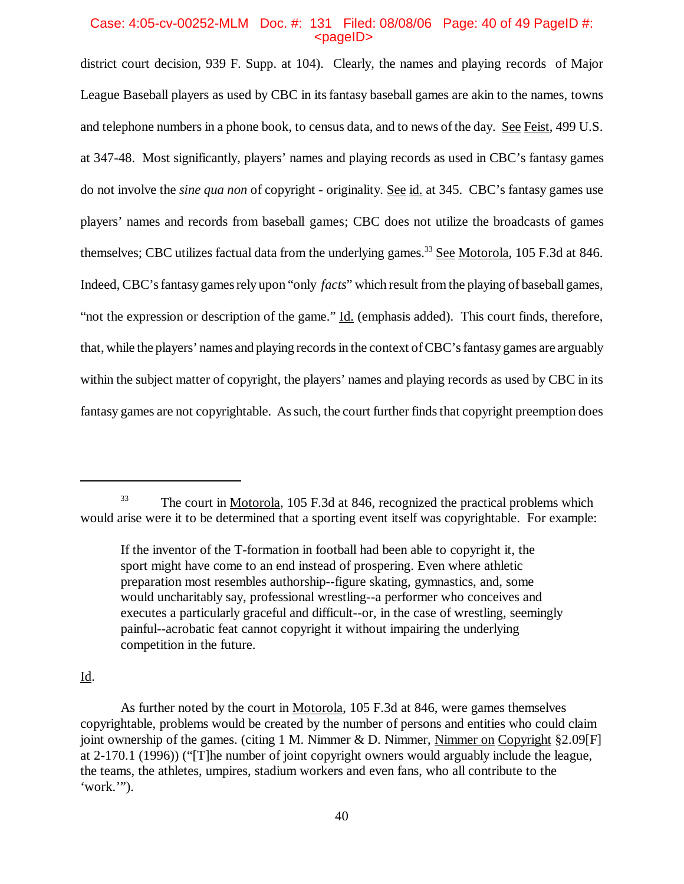#### Case: 4:05-cv-00252-MLM Doc. #: 131 Filed: 08/08/06 Page: 40 of 49 PageID #:  $<$ pageID $>$

district court decision, 939 F. Supp. at 104). Clearly, the names and playing records of Major League Baseball players as used by CBC in itsfantasy baseball games are akin to the names, towns and telephone numbers in a phone book, to census data, and to news of the day. See Feist, 499 U.S. at 347-48. Most significantly, players' names and playing records as used in CBC's fantasy games do not involve the *sine qua non* of copyright - originality. See id. at 345. CBC's fantasy games use players' names and records from baseball games; CBC does not utilize the broadcasts of games themselves; CBC utilizes factual data from the underlying games.<sup>33</sup> See Motorola, 105 F.3d at 846. Indeed, CBC's fantasy games rely upon "only *facts*" which result from the playing of baseball games, "not the expression or description of the game." Id. (emphasis added). This court finds, therefore, that, while the players' names and playing records in the context of CBC's fantasy games are arguably within the subject matter of copyright, the players' names and playing records as used by CBC in its fantasy games are not copyrightable. As such, the court further finds that copyright preemption does

## Id.

<sup>&</sup>lt;sup>33</sup> The court in Motorola, 105 F.3d at 846, recognized the practical problems which would arise were it to be determined that a sporting event itself was copyrightable. For example:

If the inventor of the T-formation in football had been able to copyright it, the sport might have come to an end instead of prospering. Even where athletic preparation most resembles authorship--figure skating, gymnastics, and, some would uncharitably say, professional wrestling--a performer who conceives and executes a particularly graceful and difficult--or, in the case of wrestling, seemingly painful--acrobatic feat cannot copyright it without impairing the underlying competition in the future.

As further noted by the court in Motorola, 105 F.3d at 846, were games themselves copyrightable, problems would be created by the number of persons and entities who could claim joint ownership of the games. (citing 1 M. Nimmer & D. Nimmer, Nimmer on Copyright  $\S2.09$ [F] at 2-170.1 (1996)) ("[T]he number of joint copyright owners would arguably include the league, the teams, the athletes, umpires, stadium workers and even fans, who all contribute to the 'work.'").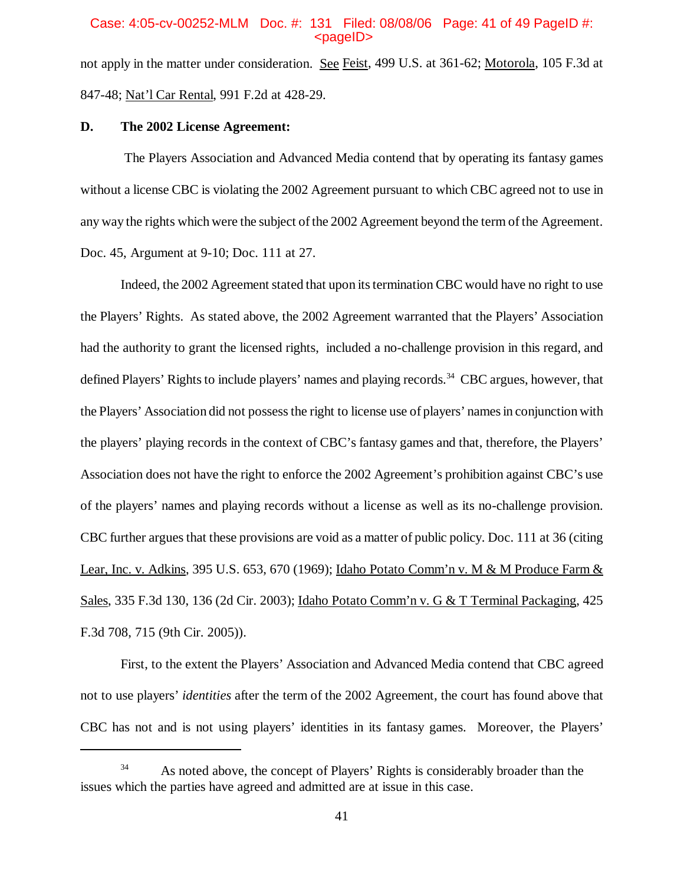#### Case: 4:05-cv-00252-MLM Doc. #: 131 Filed: 08/08/06 Page: 41 of 49 PageID #: <pageID>

not apply in the matter under consideration. See Feist, 499 U.S. at 361-62; Motorola, 105 F.3d at 847-48; Nat'l Car Rental, 991 F.2d at 428-29.

#### **D. The 2002 License Agreement:**

The Players Association and Advanced Media contend that by operating its fantasy games without a license CBC is violating the 2002 Agreement pursuant to which CBC agreed not to use in any way the rights which were the subject of the 2002 Agreement beyond the term of the Agreement. Doc. 45, Argument at 9-10; Doc. 111 at 27.

Indeed, the 2002 Agreement stated that upon its termination CBC would have no right to use the Players' Rights. As stated above, the 2002 Agreement warranted that the Players' Association had the authority to grant the licensed rights, included a no-challenge provision in this regard, and defined Players' Rights to include players' names and playing records.<sup>34</sup> CBC argues, however, that the Players' Association did not possessthe right to license use of players' namesin conjunction with the players' playing records in the context of CBC's fantasy games and that, therefore, the Players' Association does not have the right to enforce the 2002 Agreement's prohibition against CBC's use of the players' names and playing records without a license as well as its no-challenge provision. CBC further argues that these provisions are void as a matter of public policy. Doc. 111 at 36 (citing Lear, Inc. v. Adkins, 395 U.S. 653, 670 (1969); Idaho Potato Comm'n v. M & M Produce Farm & Sales, 335 F.3d 130, 136 (2d Cir. 2003); Idaho Potato Comm'n v. G & T Terminal Packaging, 425 F.3d 708, 715 (9th Cir. 2005)).

First, to the extent the Players' Association and Advanced Media contend that CBC agreed not to use players' *identities* after the term of the 2002 Agreement, the court has found above that CBC has not and is not using players' identities in its fantasy games. Moreover, the Players'

<sup>&</sup>lt;sup>34</sup> As noted above, the concept of Players' Rights is considerably broader than the issues which the parties have agreed and admitted are at issue in this case.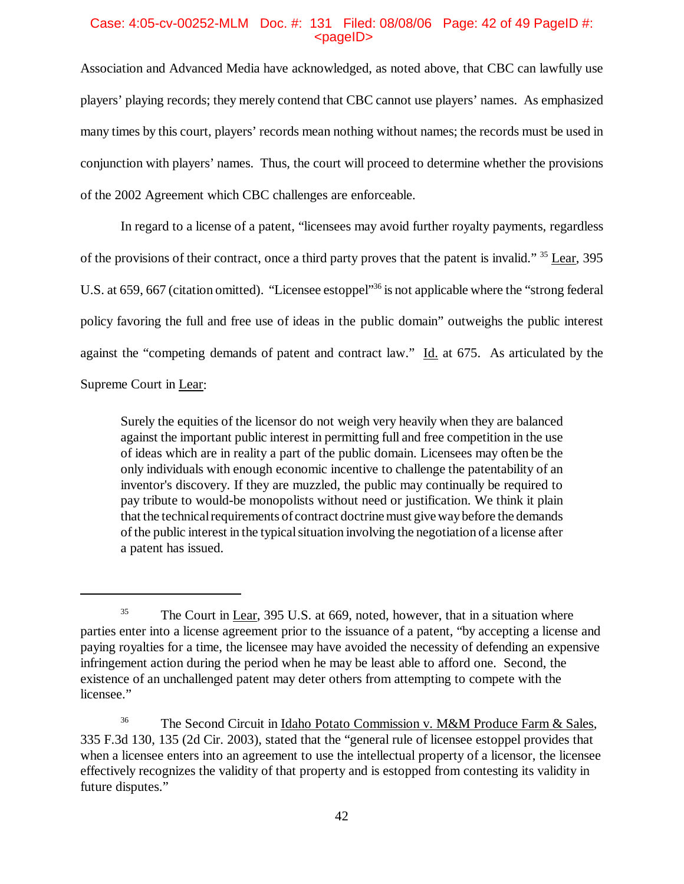## Case: 4:05-cv-00252-MLM Doc. #: 131 Filed: 08/08/06 Page: 42 of 49 PageID #:  $<$ pageID $>$

Association and Advanced Media have acknowledged, as noted above, that CBC can lawfully use players' playing records; they merely contend that CBC cannot use players' names. As emphasized many times by this court, players' records mean nothing without names; the records must be used in conjunction with players' names. Thus, the court will proceed to determine whether the provisions of the 2002 Agreement which CBC challenges are enforceable.

In regard to a license of a patent, "licensees may avoid further royalty payments, regardless of the provisions of their contract, once a third party proves that the patent is invalid." <sup>35</sup> Lear, 395 U.S. at 659, 667 (citation omitted). "Licensee estoppel"<sup>36</sup> is not applicable where the "strong federal policy favoring the full and free use of ideas in the public domain" outweighs the public interest against the "competing demands of patent and contract law." Id. at 675. As articulated by the Supreme Court in Lear:

Surely the equities of the licensor do not weigh very heavily when they are balanced against the important public interest in permitting full and free competition in the use of ideas which are in reality a part of the public domain. Licensees may often be the only individuals with enough economic incentive to challenge the patentability of an inventor's discovery. If they are muzzled, the public may continually be required to pay tribute to would-be monopolists without need or justification. We think it plain that the technical requirements of contract doctrine must give way before the demands of the public interest in the typicalsituation involving the negotiation of a license after a patent has issued.

<sup>&</sup>lt;sup>35</sup> The Court in Lear, 395 U.S. at 669, noted, however, that in a situation where parties enter into a license agreement prior to the issuance of a patent, "by accepting a license and paying royalties for a time, the licensee may have avoided the necessity of defending an expensive infringement action during the period when he may be least able to afford one. Second, the existence of an unchallenged patent may deter others from attempting to compete with the licensee."

<sup>&</sup>lt;sup>36</sup> The Second Circuit in <u>Idaho Potato Commission v. M&M Produce Farm & Sales</u>, 335 F.3d 130, 135 (2d Cir. 2003), stated that the "general rule of licensee estoppel provides that when a licensee enters into an agreement to use the intellectual property of a licensor, the licensee effectively recognizes the validity of that property and is estopped from contesting its validity in future disputes."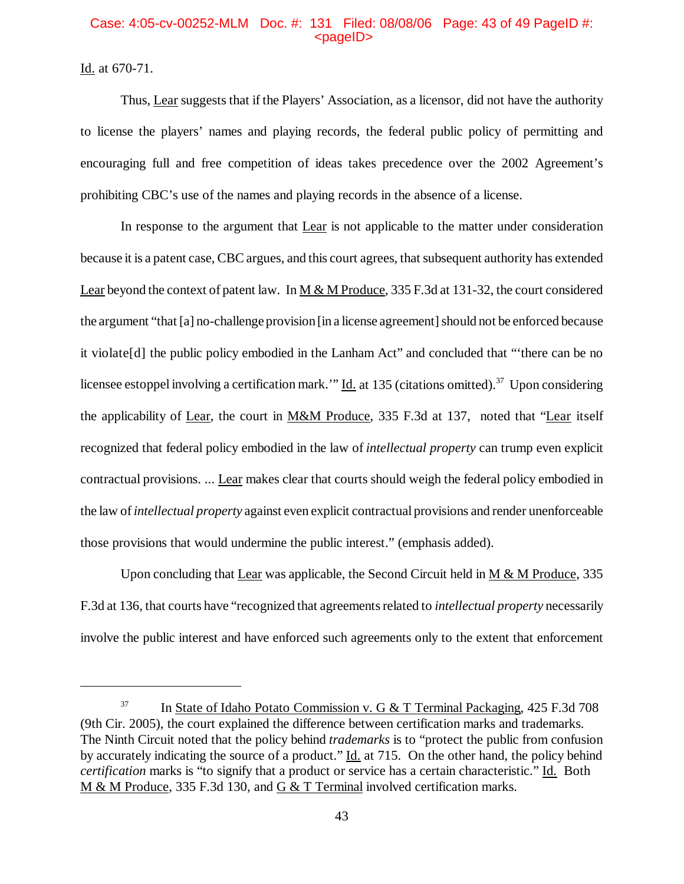### Case: 4:05-cv-00252-MLM Doc. #: 131 Filed: 08/08/06 Page: 43 of 49 PageID #:  $<$ pageID $>$

Id. at 670-71.

Thus, Lear suggests that if the Players' Association, as a licensor, did not have the authority to license the players' names and playing records, the federal public policy of permitting and encouraging full and free competition of ideas takes precedence over the 2002 Agreement's prohibiting CBC's use of the names and playing records in the absence of a license.

In response to the argument that Lear is not applicable to the matter under consideration because it is a patent case, CBC argues, and this court agrees, that subsequent authority has extended Lear beyond the context of patent law. In M & M Produce, 335 F.3d at 131-32, the court considered the argument "that [a] no-challenge provision [in a license agreement] should not be enforced because it violate[d] the public policy embodied in the Lanham Act" and concluded that "'there can be no licensee estoppel involving a certification mark." Id. at 135 (citations omitted).<sup>37</sup> Upon considering the applicability of Lear, the court in M&M Produce, 335 F.3d at 137, noted that "Lear itself recognized that federal policy embodied in the law of *intellectual property* can trump even explicit contractual provisions. ... Lear makes clear that courts should weigh the federal policy embodied in the law of*intellectual property* against even explicit contractual provisions and render unenforceable those provisions that would undermine the public interest." (emphasis added).

Upon concluding that Lear was applicable, the Second Circuit held in M  $\&$  M Produce, 335 F.3d at 136, that courts have "recognized that agreementsrelated to *intellectual property* necessarily involve the public interest and have enforced such agreements only to the extent that enforcement

<sup>&</sup>lt;sup>37</sup> In State of Idaho Potato Commission v. G & T Terminal Packaging, 425 F.3d 708 (9th Cir. 2005), the court explained the difference between certification marks and trademarks. The Ninth Circuit noted that the policy behind *trademarks* is to "protect the public from confusion by accurately indicating the source of a product." Id. at 715. On the other hand, the policy behind *certification* marks is "to signify that a product or service has a certain characteristic." Id. Both M & M Produce, 335 F.3d 130, and G & T Terminal involved certification marks.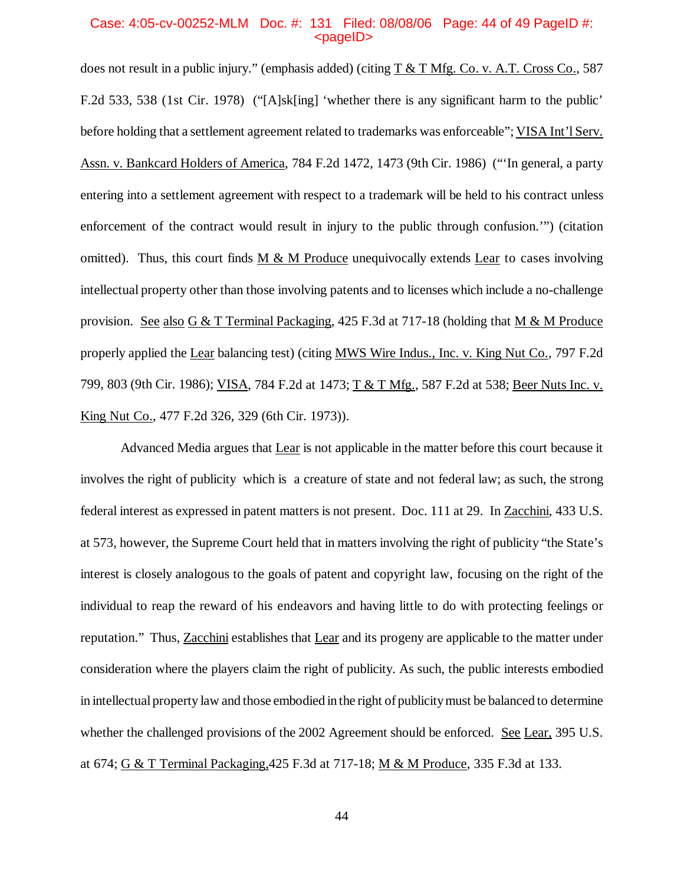#### Case: 4:05-cv-00252-MLM Doc. #: 131 Filed: 08/08/06 Page: 44 of 49 PageID #: <pageID>

does not result in a public injury." (emphasis added) (citing T & T Mfg. Co. v. A.T. Cross Co., 587 F.2d 533, 538 (1st Cir. 1978) ("[A]sk[ing] 'whether there is any significant harm to the public' before holding that a settlement agreement related to trademarks was enforceable"; VISA Int'l Serv. Assn. v. Bankcard Holders of America, 784 F.2d 1472, 1473 (9th Cir. 1986) ("'In general, a party entering into a settlement agreement with respect to a trademark will be held to his contract unless enforcement of the contract would result in injury to the public through confusion.'") (citation omitted). Thus, this court finds  $M \& M$  Produce unequivocally extends Lear to cases involving intellectual property other than those involving patents and to licenses which include a no-challenge provision. See also G & T Terminal Packaging, 425 F.3d at 717-18 (holding that  $M \& M$  Produce properly applied the Lear balancing test) (citing MWS Wire Indus., Inc. v. King Nut Co., 797 F.2d 799, 803 (9th Cir. 1986); VISA, 784 F.2d at 1473; T & T Mfg., 587 F.2d at 538; Beer Nuts Inc. v. King Nut Co., 477 F.2d 326, 329 (6th Cir. 1973)).

Advanced Media argues that Lear is not applicable in the matter before this court because it involves the right of publicity which is a creature of state and not federal law; as such, the strong federal interest as expressed in patent matters is not present. Doc. 111 at 29. In Zacchini, 433 U.S. at 573, however, the Supreme Court held that in matters involving the right of publicity "the State's interest is closely analogous to the goals of patent and copyright law, focusing on the right of the individual to reap the reward of his endeavors and having little to do with protecting feelings or reputation." Thus, Zacchini establishes that Lear and its progeny are applicable to the matter under consideration where the players claim the right of publicity. As such, the public interests embodied in intellectual property law and those embodied in the right of publicitymust be balanced to determine whether the challenged provisions of the 2002 Agreement should be enforced. See Lear, 395 U.S. at 674; G & T Terminal Packaging,425 F.3d at 717-18; M & M Produce, 335 F.3d at 133.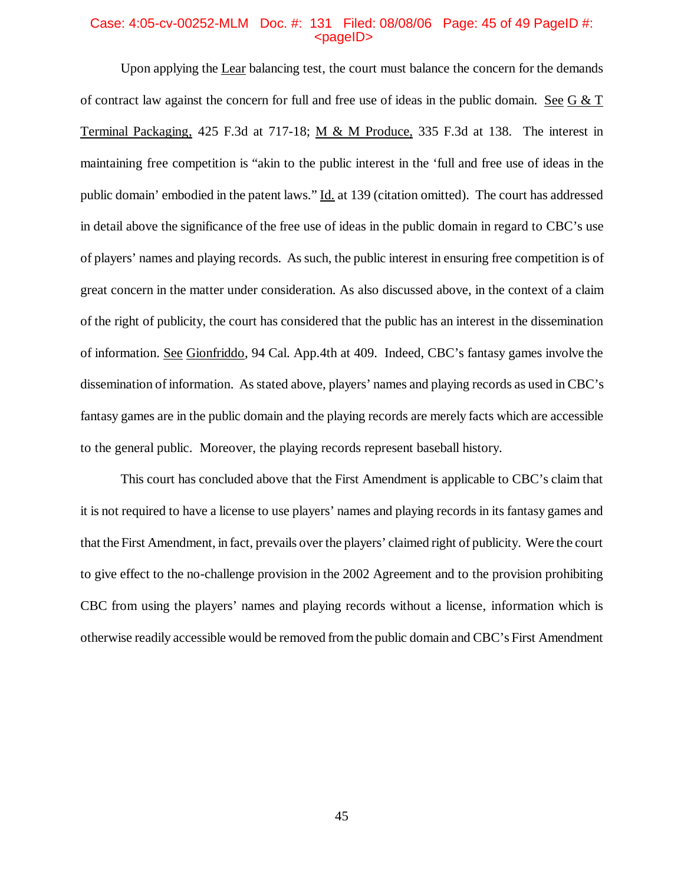#### Case: 4:05-cv-00252-MLM Doc. #: 131 Filed: 08/08/06 Page: 45 of 49 PageID #:  $<sub>0</sub>$ ageID $>$ </sub>

Upon applying the Lear balancing test, the court must balance the concern for the demands of contract law against the concern for full and free use of ideas in the public domain. See G & T Terminal Packaging, 425 F.3d at 717-18; M & M Produce, 335 F.3d at 138. The interest in maintaining free competition is "akin to the public interest in the 'full and free use of ideas in the public domain' embodied in the patent laws." Id. at 139 (citation omitted). The court has addressed in detail above the significance of the free use of ideas in the public domain in regard to CBC's use of players' names and playing records. Assuch, the public interest in ensuring free competition is of great concern in the matter under consideration. As also discussed above, in the context of a claim of the right of publicity, the court has considered that the public has an interest in the dissemination of information. See Gionfriddo, 94 Cal. App.4th at 409. Indeed, CBC's fantasy games involve the dissemination of information. As stated above, players' names and playing records as used in CBC's fantasy games are in the public domain and the playing records are merely facts which are accessible to the general public. Moreover, the playing records represent baseball history.

This court has concluded above that the First Amendment is applicable to CBC's claim that it is not required to have a license to use players' names and playing records in its fantasy games and that the First Amendment, in fact, prevails over the players' claimed right of publicity. Were the court to give effect to the no-challenge provision in the 2002 Agreement and to the provision prohibiting CBC from using the players' names and playing records without a license, information which is otherwise readily accessible would be removed fromthe public domain and CBC's First Amendment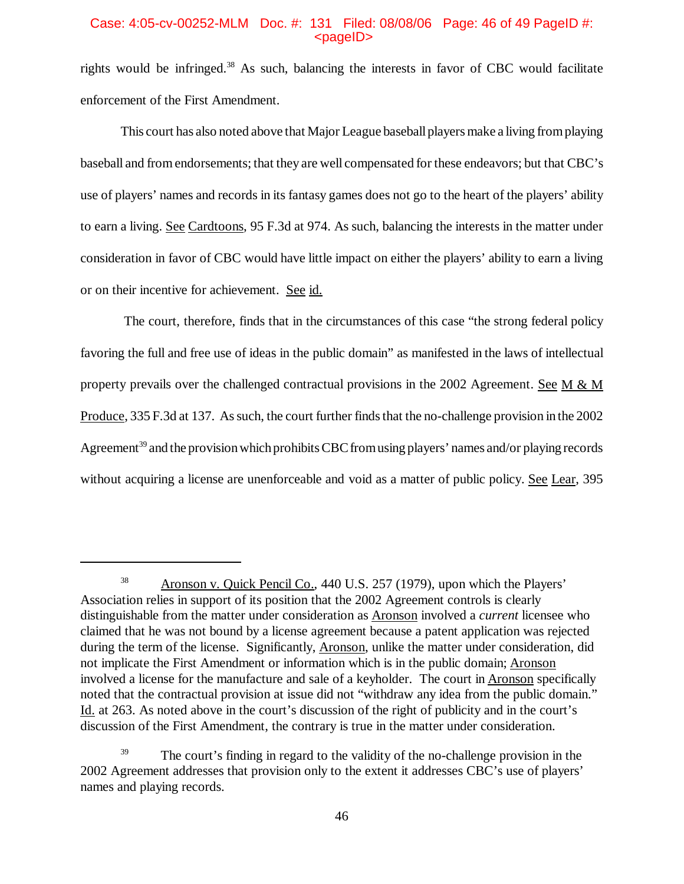## Case: 4:05-cv-00252-MLM Doc. #: 131 Filed: 08/08/06 Page: 46 of 49 PageID #:  $<$ pageID $>$

rights would be infringed.<sup>38</sup> As such, balancing the interests in favor of CBC would facilitate enforcement of the First Amendment.

This court has also noted above that Major League baseball players make a living from playing baseball and fromendorsements; that they are well compensated for these endeavors; but that CBC's use of players' names and records in its fantasy games does not go to the heart of the players' ability to earn a living. See Cardtoons, 95 F.3d at 974. As such, balancing the interests in the matter under consideration in favor of CBC would have little impact on either the players' ability to earn a living or on their incentive for achievement. See id.

 The court, therefore, finds that in the circumstances of this case "the strong federal policy favoring the full and free use of ideas in the public domain" as manifested in the laws of intellectual property prevails over the challenged contractual provisions in the 2002 Agreement. See M & M Produce, 335 F.3d at 137. As such, the court further finds that the no-challenge provision in the 2002 Agreement<sup>39</sup> and the provision which prohibits CBC from using players' names and/or playing records without acquiring a license are unenforceable and void as a matter of public policy. See Lear, 395

<sup>38</sup> Aronson v. Quick Pencil Co., 440 U.S. 257 (1979), upon which the Players' Association relies in support of its position that the 2002 Agreement controls is clearly distinguishable from the matter under consideration as Aronson involved a *current* licensee who claimed that he was not bound by a license agreement because a patent application was rejected during the term of the license. Significantly, Aronson, unlike the matter under consideration, did not implicate the First Amendment or information which is in the public domain; Aronson involved a license for the manufacture and sale of a keyholder. The court in Aronson specifically noted that the contractual provision at issue did not "withdraw any idea from the public domain." Id. at 263. As noted above in the court's discussion of the right of publicity and in the court's discussion of the First Amendment, the contrary is true in the matter under consideration.

The court's finding in regard to the validity of the no-challenge provision in the 2002 Agreement addresses that provision only to the extent it addresses CBC's use of players' names and playing records.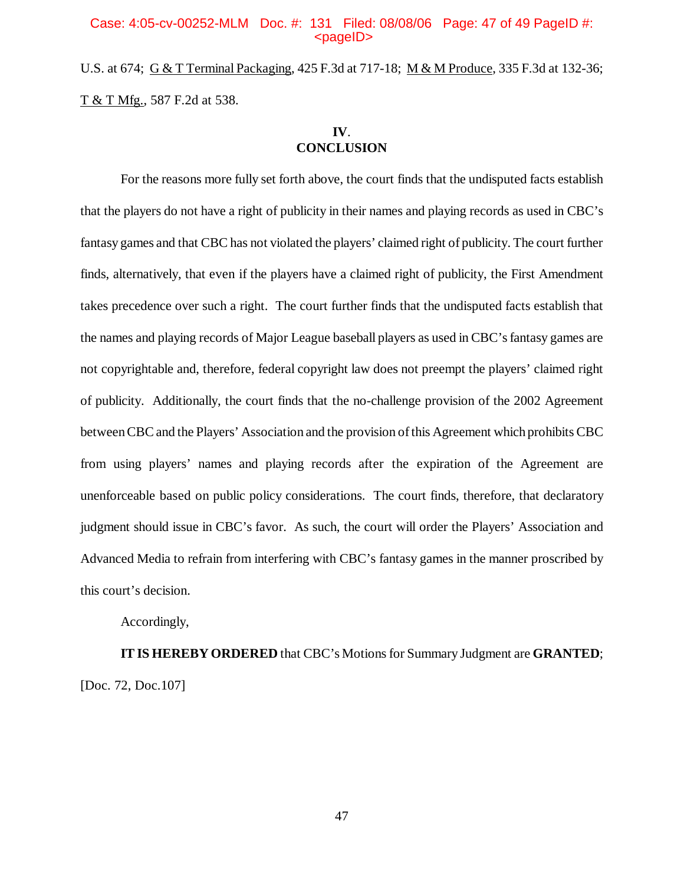### Case: 4:05-cv-00252-MLM Doc. #: 131 Filed: 08/08/06 Page: 47 of 49 PageID #:  $<$ pageID $>$

U.S. at 674; G & T Terminal Packaging, 425 F.3d at 717-18; M & M Produce, 335 F.3d at 132-36; T & T Mfg., 587 F.2d at 538.

## **IV**. **CONCLUSION**

For the reasons more fully set forth above, the court finds that the undisputed facts establish that the players do not have a right of publicity in their names and playing records as used in CBC's fantasy games and that CBC has not violated the players' claimed right of publicity. The court further finds, alternatively, that even if the players have a claimed right of publicity, the First Amendment takes precedence over such a right. The court further finds that the undisputed facts establish that the names and playing records of Major League baseball players as used in CBC'sfantasy games are not copyrightable and, therefore, federal copyright law does not preempt the players' claimed right of publicity. Additionally, the court finds that the no-challenge provision of the 2002 Agreement between CBC and the Players' Association and the provision of this Agreement which prohibits CBC from using players' names and playing records after the expiration of the Agreement are unenforceable based on public policy considerations. The court finds, therefore, that declaratory judgment should issue in CBC's favor. As such, the court will order the Players' Association and Advanced Media to refrain from interfering with CBC's fantasy games in the manner proscribed by this court's decision.

Accordingly,

**IT IS HEREBY ORDERED** that CBC's Motions for Summary Judgment are **GRANTED**; [Doc. 72, Doc.107]

47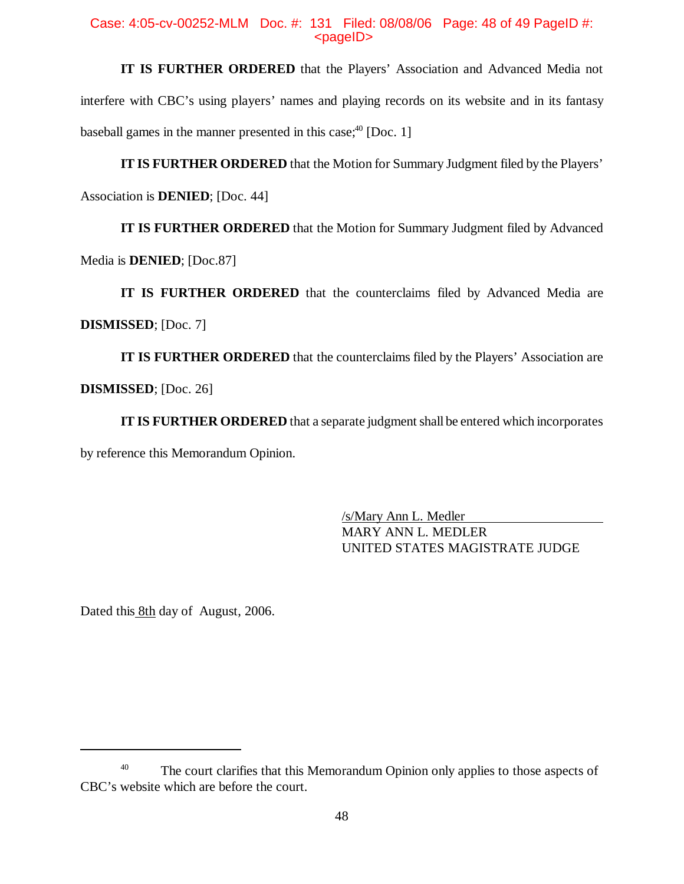## Case: 4:05-cv-00252-MLM Doc. #: 131 Filed: 08/08/06 Page: 48 of 49 PageID #:  $<$ pageID $>$

**IT IS FURTHER ORDERED** that the Players' Association and Advanced Media not interfere with CBC's using players' names and playing records on its website and in its fantasy baseball games in the manner presented in this case; $40$  [Doc. 1]

**IT IS FURTHER ORDERED** that the Motion for Summary Judgment filed by the Players'

Association is **DENIED**; [Doc. 44]

**IT IS FURTHER ORDERED** that the Motion for Summary Judgment filed by Advanced

Media is **DENIED**; [Doc.87]

**IT IS FURTHER ORDERED** that the counterclaims filed by Advanced Media are **DISMISSED**; [Doc. 7]

**IT IS FURTHER ORDERED** that the counterclaims filed by the Players' Association are

**DISMISSED**; [Doc. 26]

**IT IS FURTHER ORDERED** that a separate judgment shall be entered which incorporates by reference this Memorandum Opinion.

> /s/Mary Ann L. Medler MARY ANN L. MEDLER UNITED STATES MAGISTRATE JUDGE

Dated this 8th day of August, 2006.

<sup>&</sup>lt;sup>40</sup> The court clarifies that this Memorandum Opinion only applies to those aspects of CBC's website which are before the court.